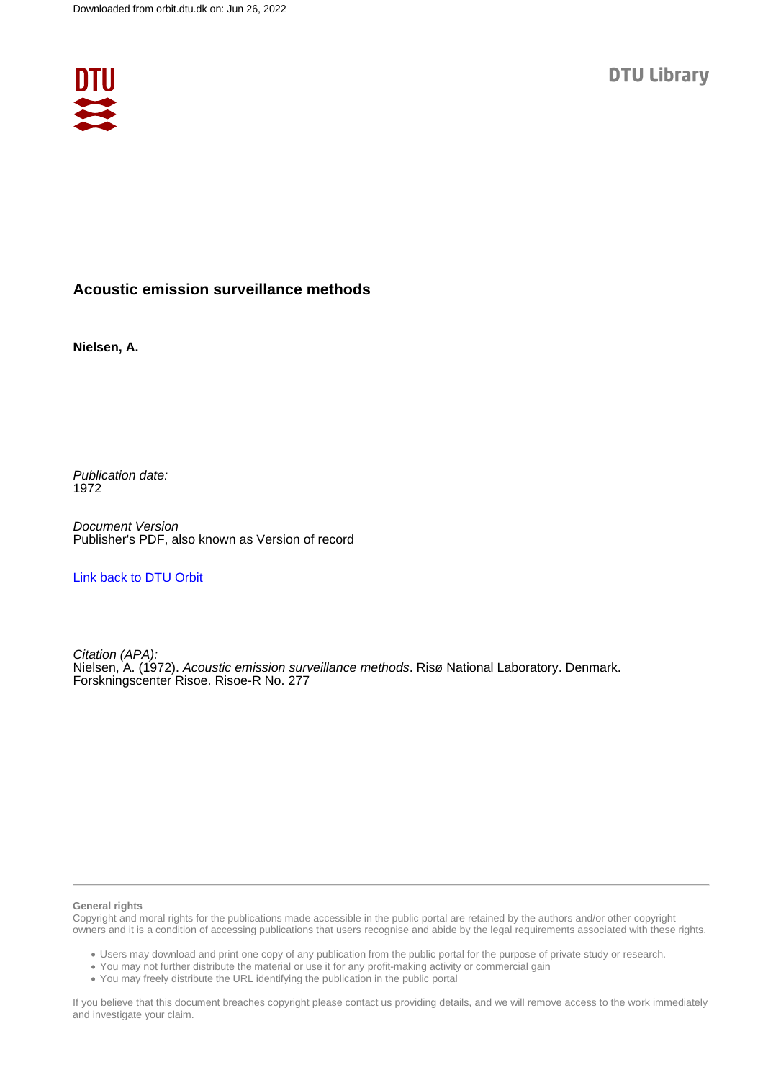

# **Acoustic emission surveillance methods**

**Nielsen, A.**

Publication date: 1972

Document Version Publisher's PDF, also known as Version of record

[Link back to DTU Orbit](https://orbit.dtu.dk/en/publications/facbb9d4-84f2-48a3-b916-872050766989)

Citation (APA): Nielsen, A. (1972). Acoustic emission surveillance methods. Risø National Laboratory. Denmark. Forskningscenter Risoe. Risoe-R No. 277

# **General rights**

Copyright and moral rights for the publications made accessible in the public portal are retained by the authors and/or other copyright owners and it is a condition of accessing publications that users recognise and abide by the legal requirements associated with these rights.

Users may download and print one copy of any publication from the public portal for the purpose of private study or research.

- You may not further distribute the material or use it for any profit-making activity or commercial gain
- You may freely distribute the URL identifying the publication in the public portal

If you believe that this document breaches copyright please contact us providing details, and we will remove access to the work immediately and investigate your claim.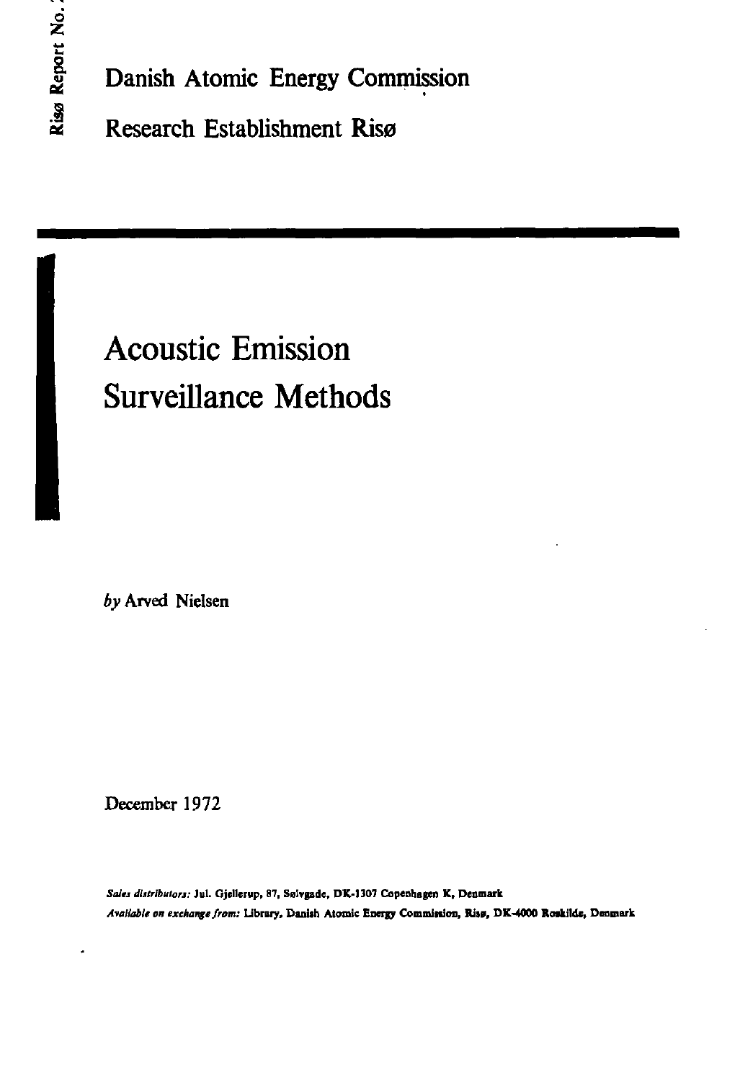Danish Atomic Energy Commission

Research Establishment Risø

# Acoustic Emission Surveillance Methods

*by Arved* Nielsen

December 1972

*Salts distributors:* **Jul. Gjellerup,** 87, **Sølvgade, DK-1307 Copenhagen K, Denmark**  *Available on exchange from:* **Library, Danish Atomic Energy Commission, Risø, DK-4000 Roskilde, Denmark**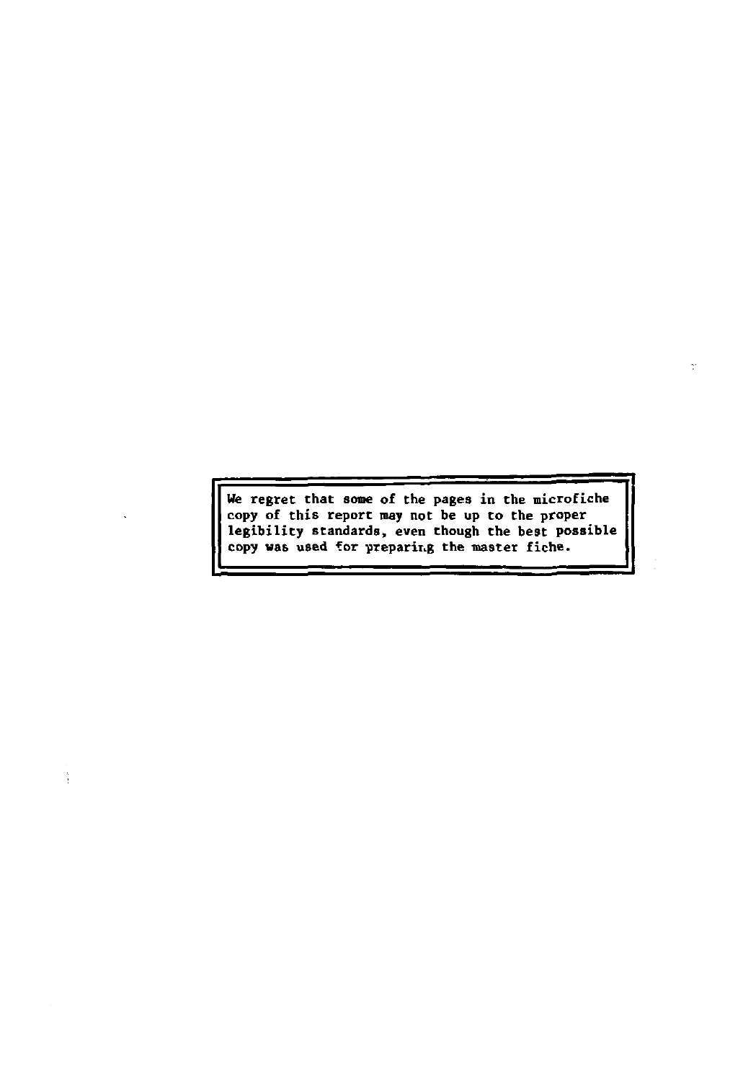**We regret that some of the pages in the microfiche copy of this report may not be up to the proper legibility standards, even though the best possible copy was used for preparing the master fiche.** 

J.

k.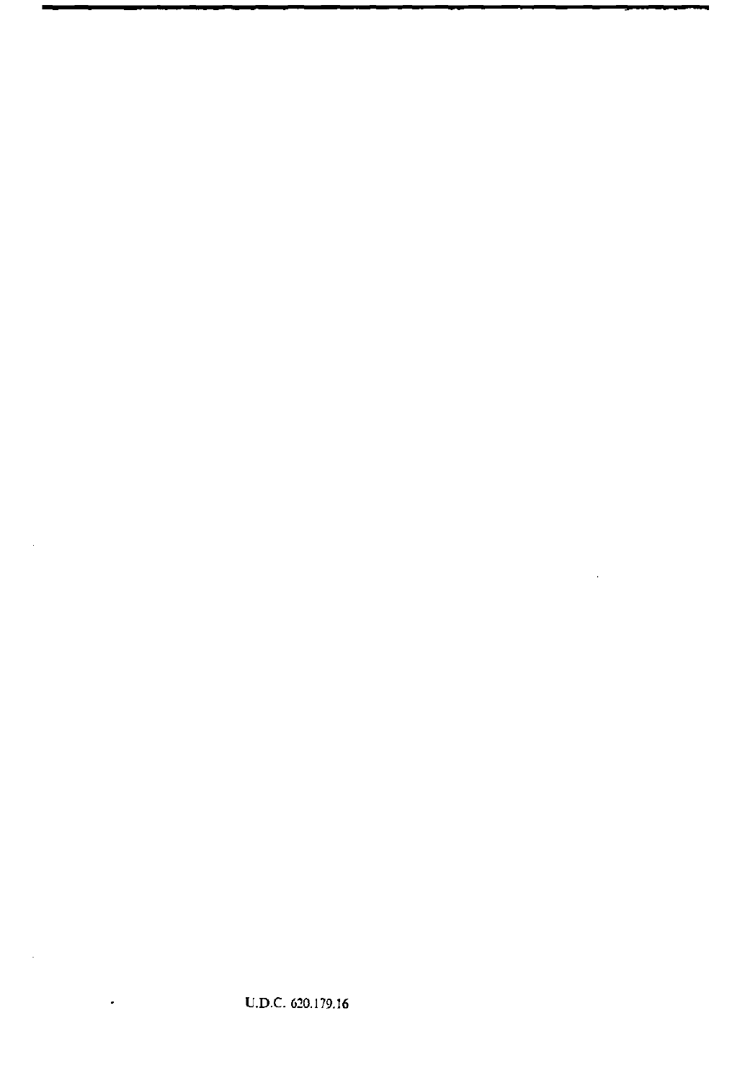U.D.C. 620.179.16

 $\mathcal{L}^{\mathcal{L}}$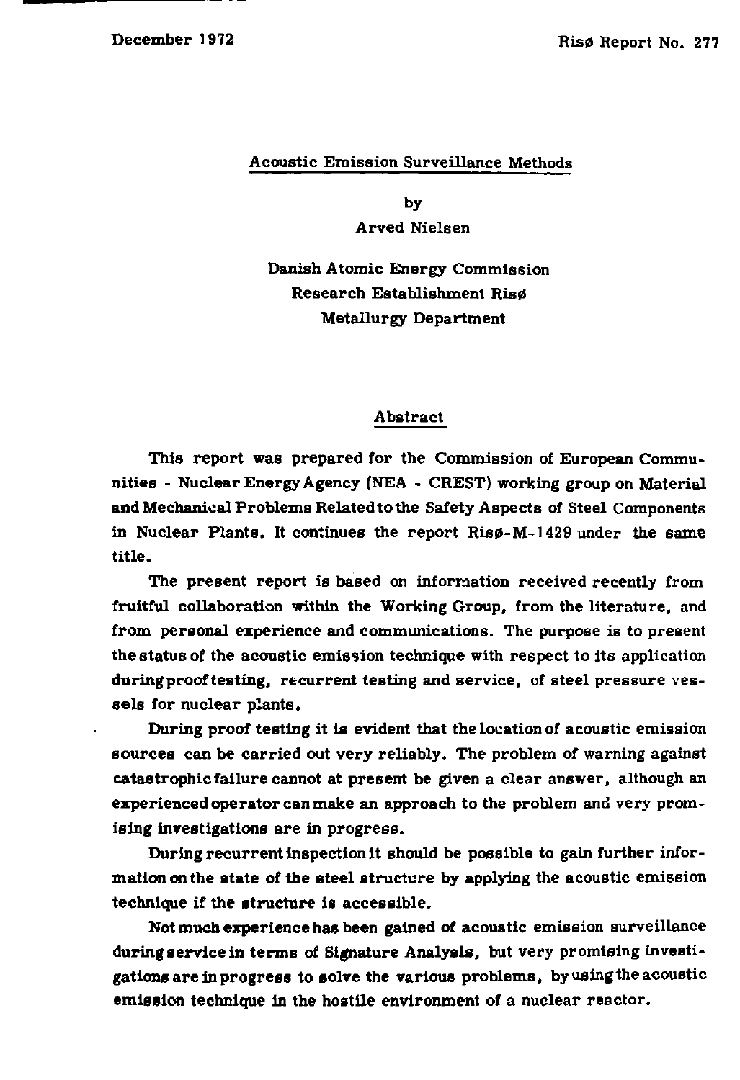**December 1972 Risø Report No. 277** 

# **Acoustic Emission Surveillance Methods**

**by Arved Nielsen** 

**Danish Atomic Energy Commission Research Establishment Risø Metallurgy Department** 

# **Abstract**

**This report was prepared for the Commission of European Communities - Nuclear Energy Agency (NEA - CREST) working group on Material and Mechanical Problems Related to the Safety Aspects of Steel Components in Nuclear Plants. It continues the report Risø-M-1429 under the same title.** 

**The present report is based on information received recently from fruitful collaboration within the Working Group, from the literature, and from personal experience and communications. The purpose is to present the status of the acoustic emission technique with respect to its application during proof testing, recurrent testing and service, of steel pressure vessels for nuclear plants.** 

**During proof testing it is evident that the location of acoustic emission sources can be carried out very reliably. The problem of warning against catastrophic failure cannot at present be given a clear answer, although an experienced operator can make an approach to the problem and very promising investigations are in progress.** 

**During recurrent inspection it should be possible to gain further information on the state of the steel structure by applying the acoustic emission technique if the structure is accessible.** 

**Not much experience has been gained of acoustic emission surveillance during service in terms of Signature Analysis, but very promising investigations are in progress to solve the various problems, by using the acoustic emission technique in the hostile environment of a nuclear reactor.**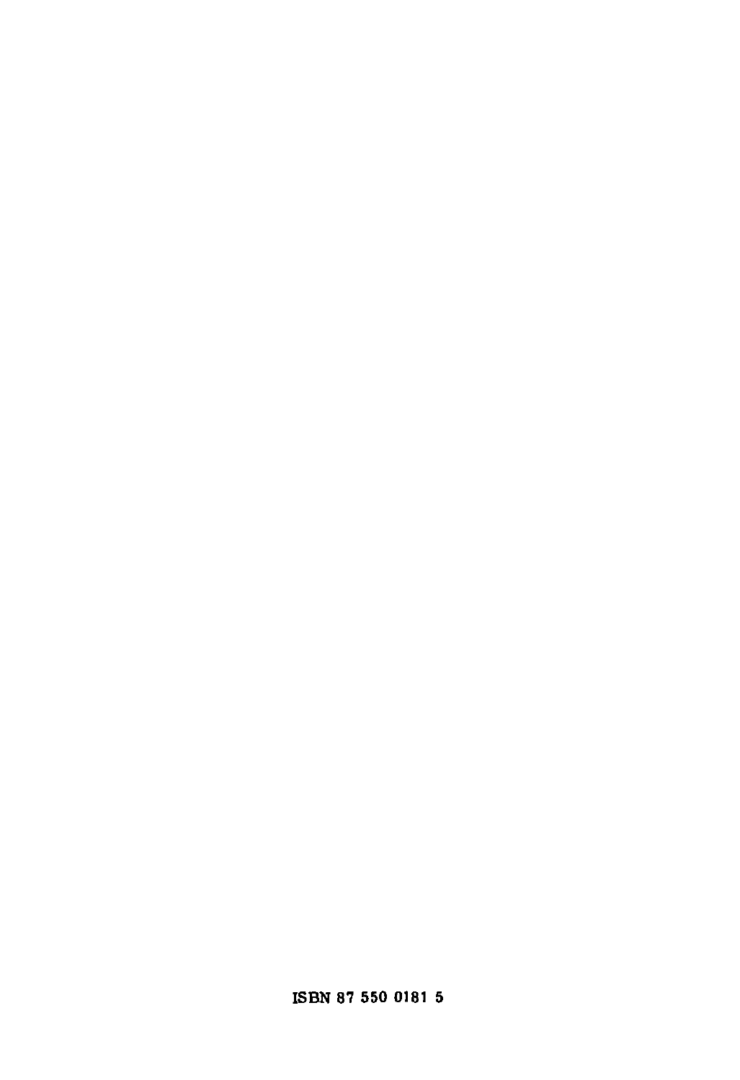# **ISBN 87 550 0181 5**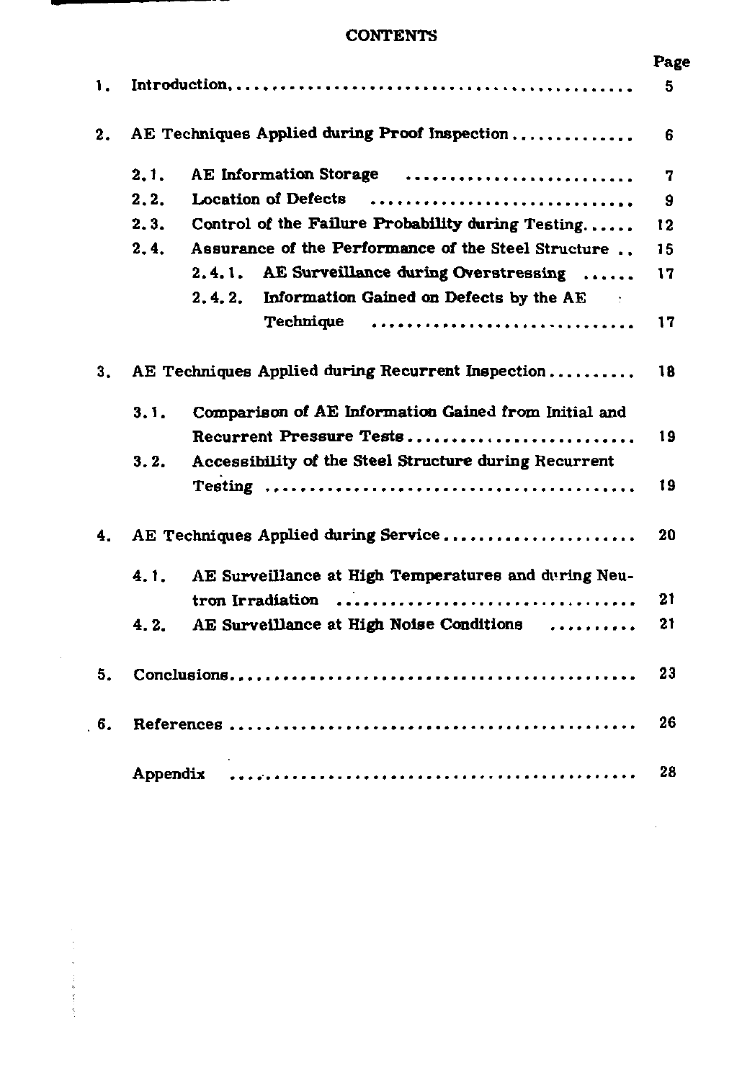#### \_\_

 $\mathcal{L}_\text{c} = \mathcal{L}_\text{c} = \mathcal{L}_\text{c} = \mathcal{L}_\text{c} = \mathcal{L}_\text{c}$  , and

# **CONTENTS**

|    |                                                                      | Page |
|----|----------------------------------------------------------------------|------|
| 1. |                                                                      | 5    |
| 2. | AE Techniques Applied during Proof Inspection                        | 6    |
|    | 2.1.<br>AE Information Storage                                       | 7    |
|    | 2.2.<br><b>Location of Defects</b>                                   | 9    |
|    | 2.3.<br>Control of the Failure Probability during Testing            | 12   |
|    | 2.4.<br>Assurance of the Performance of the Steel Structure          | 15   |
|    | AE Surveillance during Overstressing<br>2.4.1.                       | 17   |
|    | Information Gained on Defects by the AE<br>2.4.2.<br><b>Contract</b> |      |
|    | Technique                                                            | 17   |
| 3. | AE Techniques Applied during Recurrent Inspection                    | 18   |
|    | 3.1.<br>Comparison of AE Information Gained from Initial and         |      |
|    | Recurrent Pressure Tests                                             | 19   |
|    | Accessibility of the Steel Structure during Recurrent<br>3.2.        |      |
|    |                                                                      | 19   |
| 4. | AE Techniques Applied during Service                                 | 20   |
|    | AE Surveillance at High Temperatures and during Neu-<br>4.1.         |      |
|    | $tron\,Irradiation$                                                  | 21   |
|    | AE Surveillance at High Noise Conditions<br>4.2.                     | 21   |
| 5. |                                                                      | 23   |
| 6. |                                                                      | 26   |
|    | Appendix                                                             | 28   |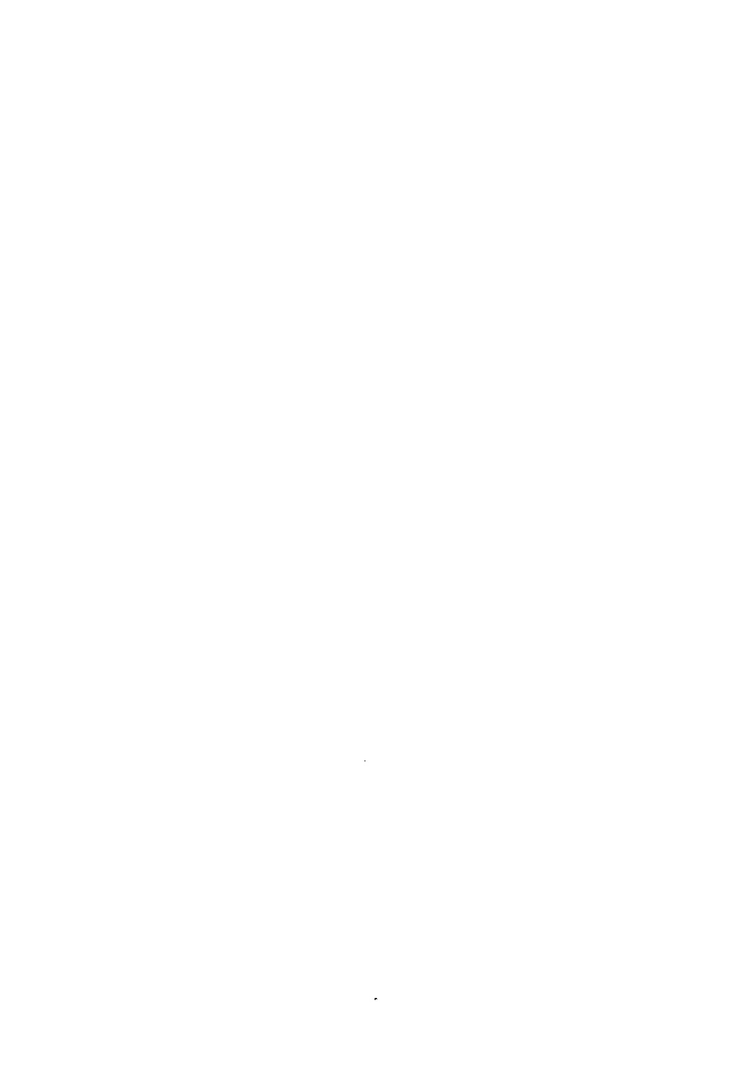$\mathcal{L}^{\text{max}}_{\text{max}}$  and  $\mathcal{L}^{\text{max}}_{\text{max}}$  $\mathcal{L}^{\text{max}}_{\text{max}}$  , where  $\mathcal{L}^{\text{max}}_{\text{max}}$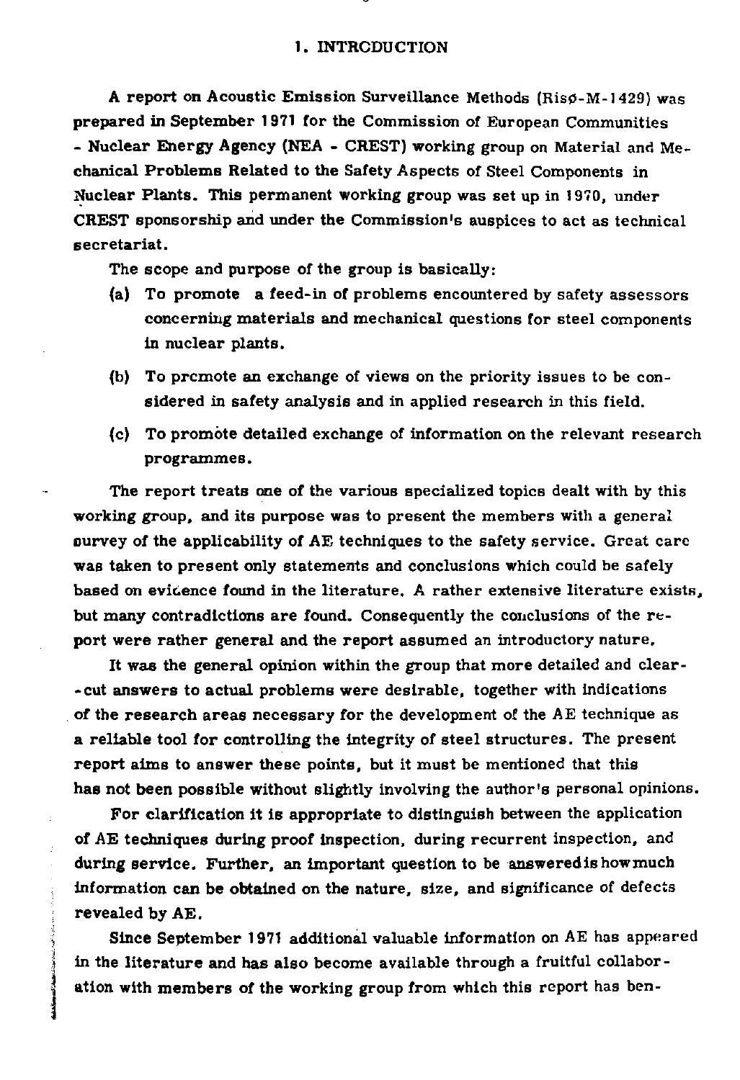#### 1. INTRODUCTION

A report on Acoustic Emission Surveillance Methods (Risø-M-1429) was prepared in September 1971 for the Commission of European Communities - Nuclear Energy Agency (NEA - CREST) working group on Material and Mechanical Problems Related to the Safety Aspects of Steel Components in Nuclear Plants. This permanent working group was set up in 1970, under CREST sponsorship and under the Commission's auspices to act as technical secretariat.

The scope and purpose of the group is basically:

- (a) To promote a feed-in of problems encountered by safety assessors concerning materials and mechanical questions for steel components in nuclear plants.
- (b) To prcmote an exchange of views on the priority issues to be considered in safety analysis and in applied research in this field.
- (c) To promote detailed exchange of information on the relevant research programmes.

The report treats one of the various specialized topics dealt with by this working group, and its purpose was to present the members with a general survey of the applicability of AE techniques to the safety service. Great care was taken to present only statements and conclusions which could be safely based on evidence found in the literature. A rather extensive literature exists, but many contradictions are found. Consequently the conclusions of the report were rather general and the report assumed an introductory nature.

It was the general opinion within the group that more detailed and clear- -cut answers to actual problems were desirable, together with indications of the research areas necessary for the development of the AE technique as a reliable tool for controlling the integrity of steel structures. The present report aims to answer these points, but it must be mentioned that this has not been possible without slightly involving the author's personal opinions.

For clarification it is appropriate to distinguish between the application of AE techniques during proof inspection, during recurrent inspection, and during service. Further, an important question to be answered is how much information can be obtained on the nature, size, and significance of defects revealed by AE.

Since September 1971 additional valuable information on AE has appeared in the literature and has also become available through a fruitful collaboration with members of the working group from which this report has ben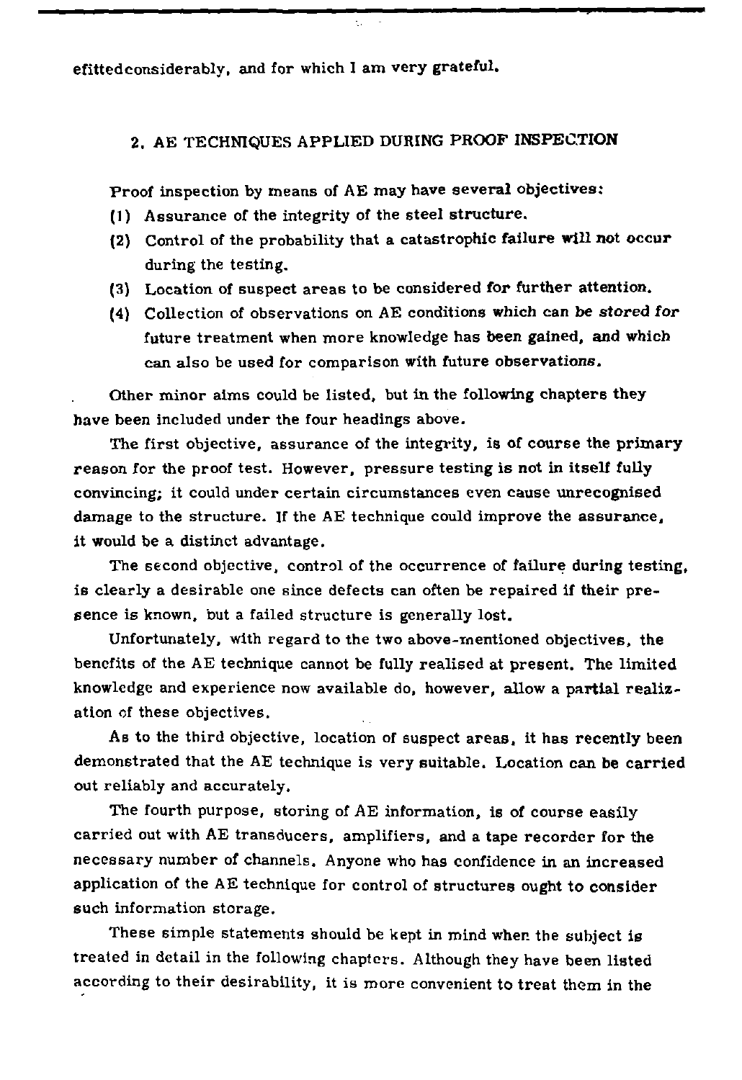efittedeonsiderably, and for which 1 am very grateful.

# 2. AE TECHNIQUES APPLIED DURING PROOF INSPECTION

Proof inspection by means of AE may have several objectives:

- (1) Assurance of the integrity of the steel structure.
- (2) Control of the probability that a catastrophic failure will not occur during the testing.
- (3) Location of suspect areas to be considered for further attention.
- (4) Collection of observations on AE conditions which can be stored for future treatment when more knowledge has been gained, and which can also be used for comparison with future observations.

Other minor aims could be listed, but in the following chapters they have been included under the four headings above.

The first objective, assurance of the integrity, is of course the primary reason for the proof test. However, pressure testing is not in itself fully convincing; it could under certain circumstances even cause unrecognised damage to the structure. If the  $AE$  technique could improve the assurance, it would be a distinct advantage.

The second objective, control of the occurrence of failure during testing, is clearly a desirable one since defects can often be repaired if their presence is known, but a failed structure is generally lost.

Unfortunately, with regard to the two above-mentioned objectives, the benefits of the AE technique cannot be fully realised at present. The limited knowledge and experience now available do, however, allow a partial realization of these objectives.

As to the third objective, location of suspect areas, it has recently been demonstrated that the AE technique is very suitable. Location can be carried out reliably and accurately.

The fourth purpose, storing of AE information, is of course easily carried out with AE transducers, amplifiers, and a tape recorder for the necessary number of channels. Anyone who has confidence in an increased application of the AE technique for control of structures ought to consider such information storage.

These simple statements should be kept in mind when the subject is treated in detail in the following chapters. Although they have been listed according to their desirability, it is more convenient to treat them in the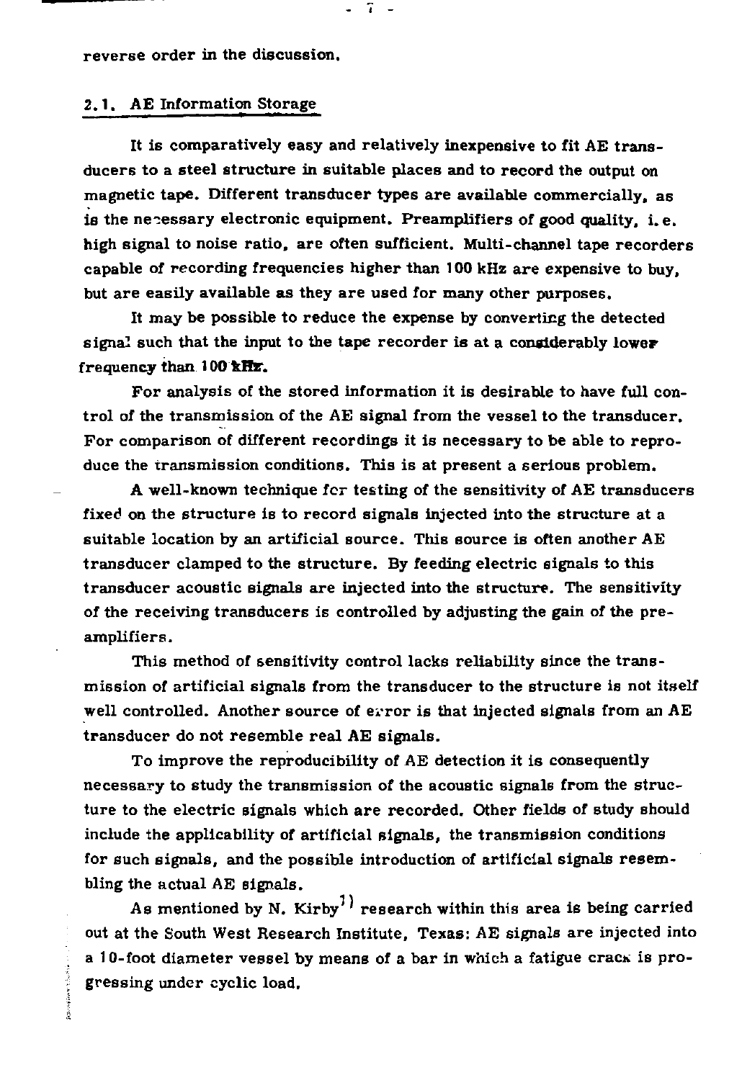reverse order in the discussion.

# 2.1. AE Information Storage

ś

It is comparatively easy and relatively inexpensive to fit AE transducers to a steel structure in suitable places and to record the output on magnetic tape. Different transducer types are available commercially, as  $\dot{\mathbf{r}}$  is the necessary electronic equipment. Preamplifiers of good quality, i.e. high signal to noise ratio, are often sufficient. Multi-channel tape recorders capable of recording frequencies higher than 100 kHz are expensive to buy, but are easily available as they are used for many other purposes.

It may be possible to reduce the expense by converting the detected signal such that the input to the tape recorder is at a considerably lower frequency than 100 **kHr.** 

For analysis of the stored information it is desirable to have full control of the transmission of the AE signal from the vessel to the transducer. For comparison of different recordings it is necessary to be able to reproduce the transmission conditions. This is at present a serious problem.

A well-known technique for testing of the sensitivity of AE transducers fixed on the structure is to record signals injected into the structure at a suitable location by an artificial source. This source is often another AE transducer clamped to the structure. By feeding electric signals to this transducer acoustic signals are injected into the structure. The sensitivity of the receiving transducers is controlled by adjusting the gain of the preamplifiers.

This method of sensitivity control lacks reliability since the transmission of artificial signals from the transducer to the structure is not itself well controlled. Another source of eirror is that injected signals from an AE transducer do not resemble real AE signals.

To improve the reproducibility of AE detection it is consequently necessary to study the transmission of the acoustic signals from the structure to the electric signals which are recorded. Other fields of study should include the applicability of artificial signals, the transmission conditions for such signals, and the possible introduction of artificial signals resembling the actual AE signals.

As mentioned by N. Kirby<sup>1)</sup> research within this area is being carried out at the South West Research Institute, Texas: AE signals are injected into a 10-foot diameter vessel by means of a bar in which a fatigue crack is progressing under cyclic load.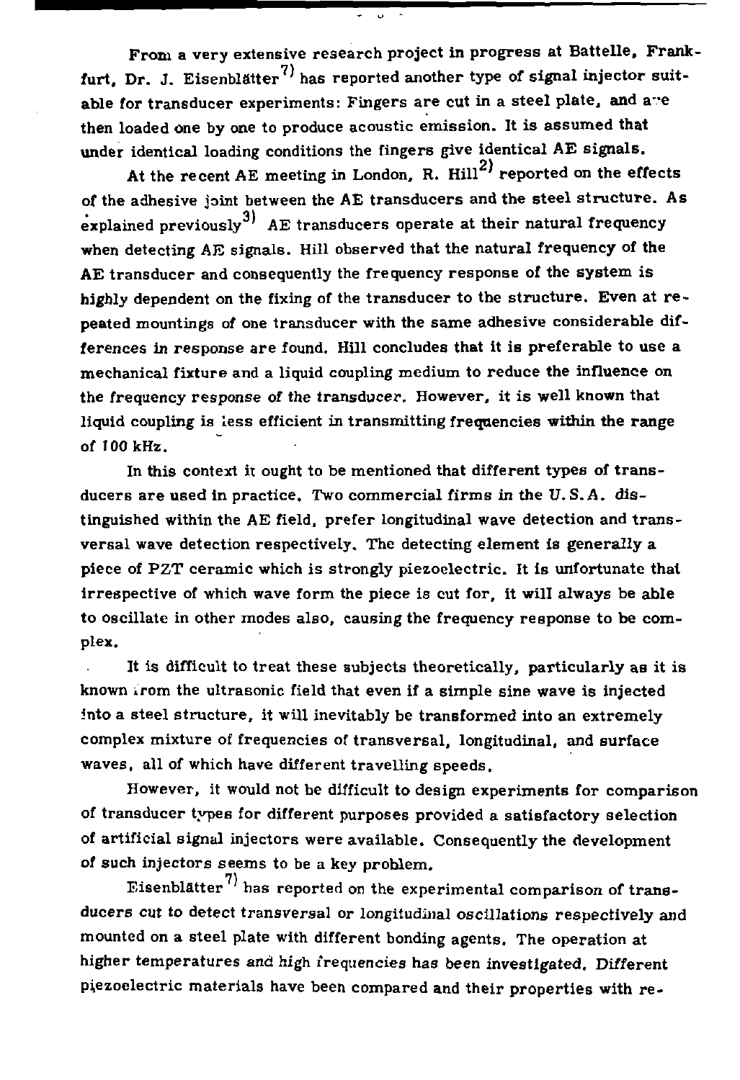From a very extensive research project in progress at Battelle, Frankfurt, Dr. J. Eisenblätter $^{7)}$  has reported another type of signal injector suitable for transducer experiments: Fingers are cut in a steel plate, and are then loaded one by one to produce acoustic emission. It is assumed that under identical loading conditions the fingers give identical AE signals.

At the recent AE meeting in London, R.  $Hill^{2}$  reported on the effects of the adhesive joint between the AE transducers and the steel structure. As explained previously  $^{3)}$  AE transducers operate at their natural frequency when detecting AE signals. Hill observed that the natural frequency of the AE transducer and consequently the frequency response of the system is highly dependent on the fixing of the transducer to the structure. Even at repeated mountings of one transducer with the same adhesive considerable differences in response are found. Hill concludes that it is preferable to use a mechanical fixture and a liquid coupling medium to reduce the influence on the frequency response of the transducer. However, it is well known that liquid coupling is less efficient in transmitting frequencies within the range of 100 kHz.

In this context it ought to be mentioned that different types of transducers are used in practice. Two commercial firms in the U.S.A. distinguished within the AE field, prefer longitudinal wave detection and transversal wave detection respectively. The detecting element is generally a piece of PZT ceramic which is strongly piezoelectric. It is unfortunate thai irrespective of which wave form the piece is cut for, it will always be able to oscillate in other modes also, causing the frequency response to be complex.

It is difficult to treat these subjects theoretically, particularly as it is known irom the ultrasonic field that even if a simple sine wave is injected into a steel structure, it will inevitably be transformed into an extremely complex mixture of frequencies of transversal, longitudinal, and surface waves, all of which have different travelling speeds.

However, it would not be difficult to design experiments for comparison of transducer types for different purposes provided a satisfactory selection of artificial signal injectors were available. Consequently the development of such injectors seems to be a key problem.

Eisenblätter<sup>7)</sup> has reported on the experimental comparison of transducers cut to detect transversal or longitudinal oscillations respectively and ducers cut to detect in answersal or longitudinal oscillations respectively and mounted on a steel plate with different bonding agents. The operation at higher temperatures and high frequencies has been investigated. Different piezoelectric materials have been compared and their properties with re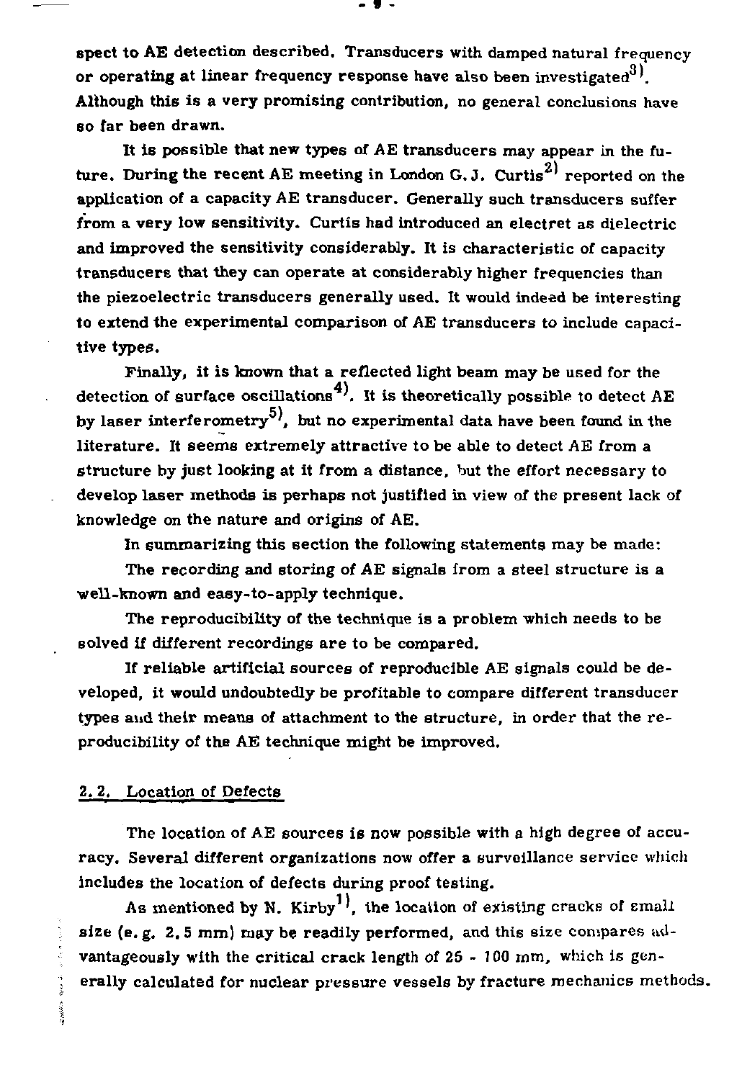spect to AE detection described. Transducers with damped natural frequency or operating at linear frequency response have also been investigated  $^{3}$ . Although this is a very promising contribution, no general conclusions have BO far been drawn.

It is possible that new types of AE transducers may appear in the future. During the recent AE meeting in London G.J. Curtis<sup>2)</sup> reported on the application of a capacity AE transducer. Generally such transducers suffer from a very low sensitivity. Curtis had introduced an electret as dielectric and improved the sensitivity considerably. It is characteristic of capacity transducers that they can operate at considerably higher frequencies than the piezoelectric transducers generally used. It would indeed be interesting to extend the experimental comparison of AE transducers to include capacitive types.

Finally, it is known that a reflected light beam may be used for the detection of surface oscillations<sup>4</sup>). It is theoretically possible to detect  $AE$ by laser interferometry<sup>5</sup>, but no experimental data have been found in the literature. It seems extremely attractive to be able to detect AE from a structure by just looking at it from a distance, but the effort necessary to develop laser methods is perhaps not justified in view of the present lack of knowledge on the nature and origins of AE.

In summarizing this section the following statements may be made:

The recording and storing of AE signals from a steel structure is a well-known and easy-to-apply technique.

The reproducibility of the technique is a problem which needs to be solved if different recordings are to be compared.

If reliable artificial sources of reproducible AE signals could be developed, it would undoubtedly be profitable to compare different transducer types and their means of attachment to the structure, in order that the reproducibility of the AE technique might be improved.

# 2. 2. Location of Defects

The location of AE sources is now possible with a high degree of accuracy. Several different organizations now offer a surveillance service which includes the location of defects during proof testing.

As mentioned by N. Kirby<sup>1</sup>, the location of existing cracks of small size (e.g. 2.5 mm) may be readily performed, and this size compares  $ad$ vantageously with the critical crack length of  $25 - 100$  mm, which is generally calculated for nuclear pressure vessels by fracture mechanics methods.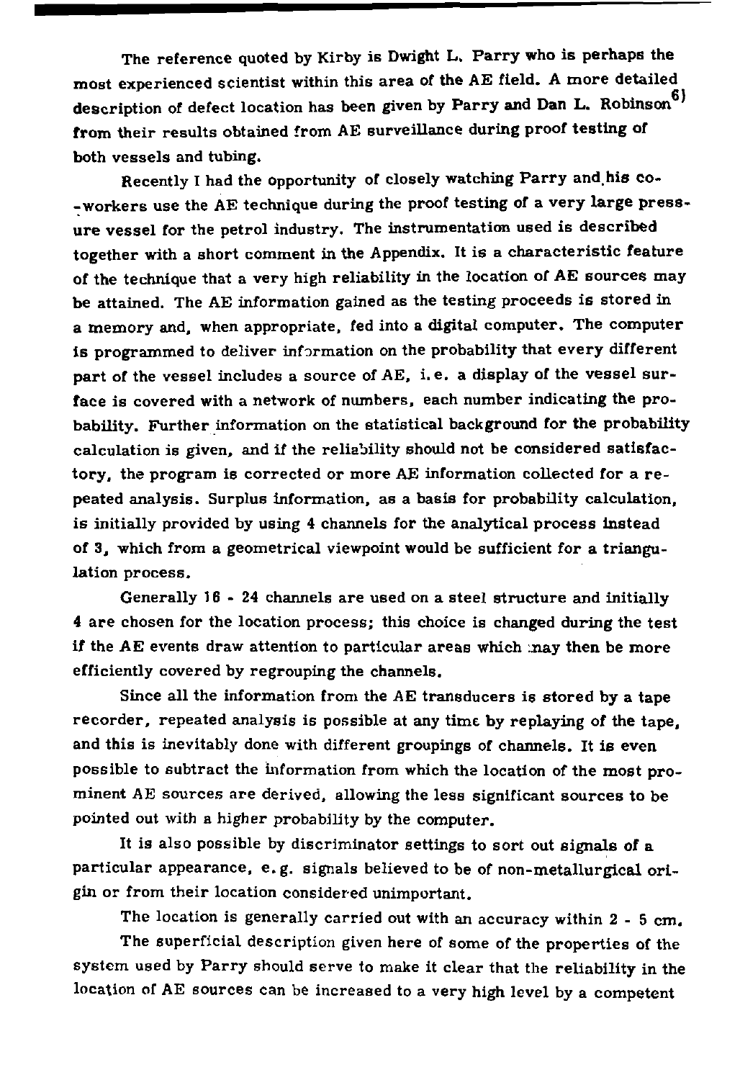**The reference quoted by Kirby is Dwight L, Parry who is perhaps the most experienced scientist within this area of the AE field. A more detailed description of defect location has been given by Parry and Dan L. Robinson from their results obtained from AE surveillance during proof testing of both vessels and tubing.** 

**Recently I had the opportunity of closely watching Parry and his co- -workers use the AE technique during the proof testing of a very large pressure vesse l for the petrol industry. The instrumentation used is described together with a short comment in the Appendix. It is a characteristic feature of the technique that a very high reliability in the location of AE sources may be attained. The AE information gained as the testing proceeds is stored in a memory and, when appropriate, fed into a digital computer. The computer Is programmed to deliver information on the probability that every different**  part of the vessel includes a source of AE, i.e. a display of the vessel sur**face is covered with a network of numbers, each number indicating the probability. Further information on the statistical background for the probability calculation is given, and if the reliability should not be considered satisfactory, the program is corrected or more AE information collected for a re peated analysis. Surplus information, as a basis for probability calculation, is initially provided by using 4 channels for the analytical process instead of 3, which from a geometrical viewpoint would be sufficient for a triangulation process.** 

**Generally 16 - 24 channels are used on a steel structure and initially 4 are chosen for the location process; this choice is changed during the test if the AE events draw attention to particular areas which :.nay then be more efficiently covered by regrouping the channels.** 

**Since all the information from the AE transducers is stored by a tape recorder, repeated analysis is possible at any time by replaying of the tape, and this is inevitably done with different groupings of channels. It ie even possible to subtract the information from which the location of the most prominent AE sources are derived, allowing the less significant sources to be pointed out with a higher probability by the computer.** 

**It is also possible by discriminator settings to sort out signals of a particular appearance, e. g. signals believed to be of non-metallurgical origin or from their location considered unimportant.** 

**The location is generally carried out with an accuracy within 2- 5 cm.** 

**The superficial description given here of some of the properties of the system used by Parry should serve to make it clear that the reliability in the location of AE sources can be increased to a very high level by a competent**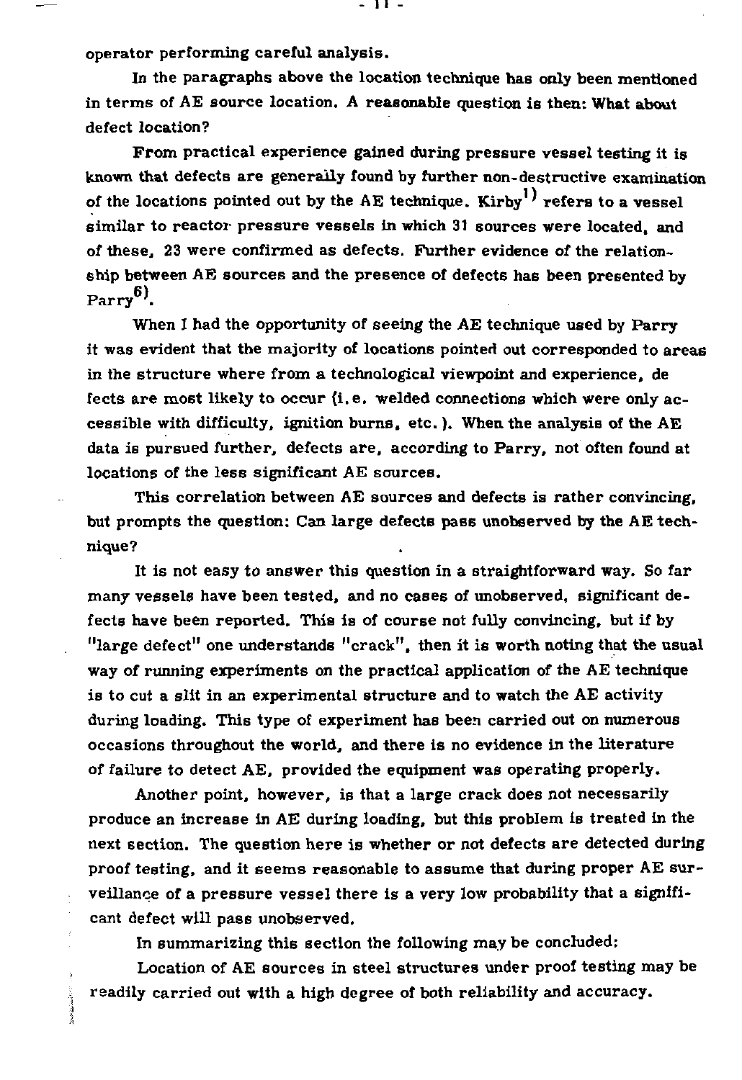operator performing careful analysis.

In the paragraphs above the location technique has only been mentioned in terms of AE source location. A reasonable question is then: What about defect location?

From practical experience gained during pressure vessel testing it is known that defects are generaily found by further non-destructive examination of the locations pointed out by the  $AE$  technique. Kirby<sup>1</sup>) refers to a vessel similar to reactor pressure vessels in which 31 sources were located, and of these, 23 were confirmed as defects. Further evidence of the relationship between AE sources and the presence of defects has been presented by  $Parrow$ <sup>6)</sup>.

When I had the opportunity of seeing the AE technique used by Parry it was evident that the majority of locations pointed out corresponded to areas in the structure where from a technological viewpoint and experience, de fects are most likely to occur (i.e. welded connections which were only accessible with difficulty, ignition burns, etc.). When the analysis of the AE data is pursued further, defects are, according to Parry, not often found at locations of the less significant AE sources.

This correlation between AE sources and defects is rather convincing, but prompts the question: Can large defects pass unobserved by the AE technique?

It is not easy to answer this question in a straightforward way. So far many vessels have been tested, and no cases of unobserved, significant defects have been reported. This is of course not fully convincing, but if by "large defect" one understands "crack", then it is worth noting that the usual way of running experiments on the practical application of the AE technique is to cut a slit in an experimental structure and to watch the AE activity during loading. This type of experiment has been carried out on numerous occasions throughout the world, and there is no evidence in the literature of failure to detect AE, provided the equipment was operating properly.

Another point, however, is that a large crack does not necessarily produce an increase In AE during loading, but this problem is treated in the next section. The question here is whether or not defects are detected during proof testing, and it seems reasonable to assume that during proper AE surveillance of a pressure vessel there is a very low probability that a significant defect will pass unobserved.

In summarizing this section the following may be concluded:

Location of AE sources in steel structures under proof testing may be readily carried out with a high degree of both reliability and accuracy.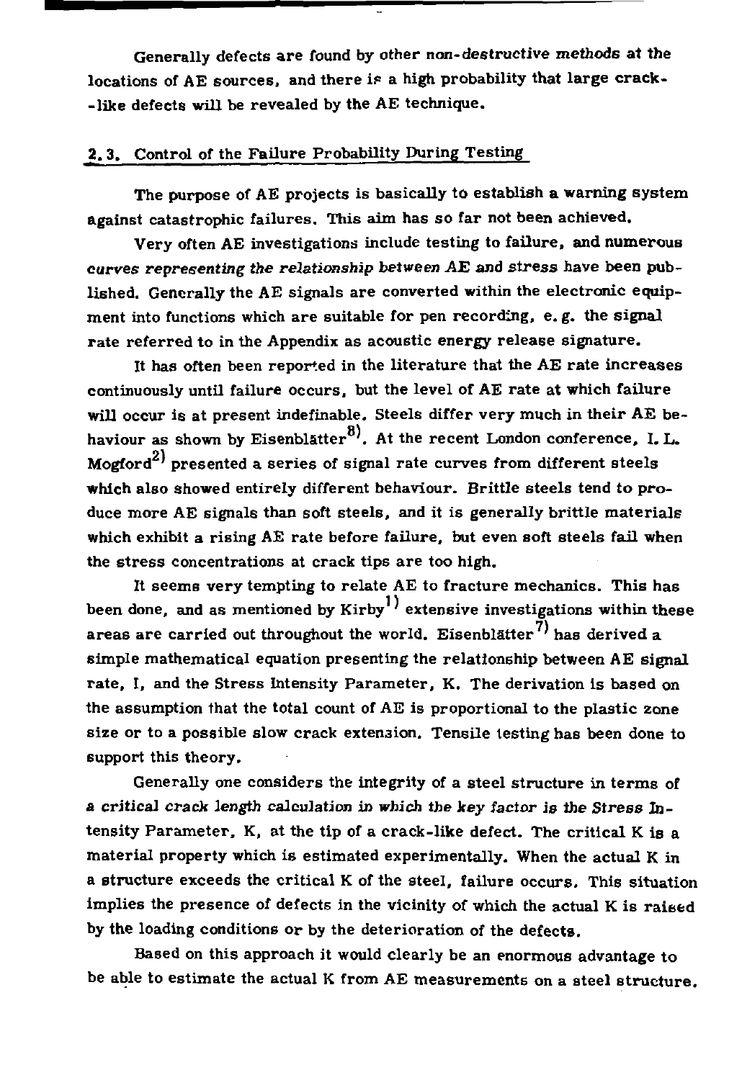**Generally defects are found by other non-destructive methods at the locations of AE sources, and there if a high probability that large crack- -like defects will be revealed by the AE technique.** 

# **2.3 . Control of the Failure Probability During Testing**

**The purpose of AE projects is basically to establish a warning system against catastrophic failures. This aim has so far not been achieved.** 

**Very often AE investigations include testing to failure, and numerous curves representing the** *relationship between AE* **and stress have been published. Generally the AE signals are converted within the electronic equipment into functions which are suitable for pen recording, e. g. the signal rate referred to in the Appendix as acoustic energy release signature.** 

**It has often been reported in the literature that the AE rate increases continuously until failure occurs, but the level of AE rate at which failure will occur is at present indefinable. Steels differ very much in their AE be**haviour as shown by Eisenblätter<sup>8</sup>, At the recent London conference, I. L. **Mogford ' presented a serie s of signal rate curves from different steels which also showed entirely different behaviour. Brittle steels tend to produce more AE signals than soft steels, and it is generally brittle materials which exhibit a rising AE rate before failure, but even soft steels fail when the stress concentrations at crack tips are too high.** 

**It seems very tempting to relate AE to fracture mechanics. This has**  been done, and as mentioned by Kirby<sup>1)</sup> extensive investigations within these areas are carried out throughout the world. Eisenblätter <sup>7)</sup> has derived a **simple mathematical equation presenting the relationship between AE signal rate, I, and the Stress Intensity Parameter, K. The derivation is based on the assumption that the total count of AE is proportional to the plastic zone size or to a possible slow crack extension. Tensile testing has been done to support this theory.** 

**Generally one considers the integrity of a steel structure in terms of a critical** *crack* **length calculation in which the key factor is the** *Stress* **Intensity Parameter, K, at the tip of a crack-like defect. The critical K is a material property which is estimated experimentally. When the actual K in a structure exceeds the critical K of the steel, failure occurs. This situation implies the presence of defects in the vicinity of which the actual K is raised by the loading conditions or by the deterioration of the defects.** 

**Based on this approach it would clearly be an enormous advantage to be able to estimate the actual K from AE measurements on a steel structure.**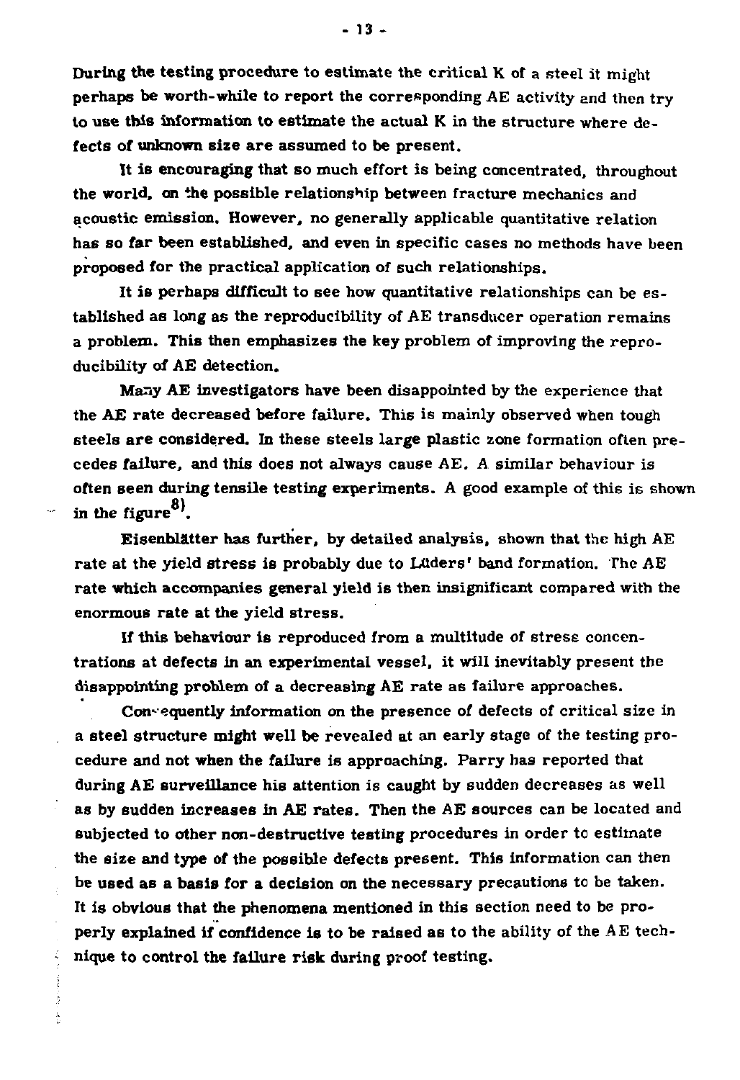**During the testing procedure to estimate the critical K of a steel it might perhaps be worth-while to report the corresponding AE activity and then try to use this information to estimate the actual K in the structure where defects of unknown size are assumed to be present.** 

**It is encouraging that so much effort is being concentrated, throughout the world, on the possible relationship between fracture mechanics and acoustic emission. However, no generally applicable quantitative relation has so far been established, and even in specific cases no methods have been proposed for the practical application of such relationships.** 

**It is perhaps difficult to see how quantitative relationships can be established as long as the reproducibility of AE transducer operation remains a problem. This then emphasizes the key problem of improving the reproducibility of AE detection.** 

**Many AE investigators have been disappointed by the experience that the AE rate decreased before failure. This is mainly observed when tough steels are considered. In these steels large plastic zone formation often precedes failure, and this does not always cause AE. A similar behaviour is often seen during tensile testing experiments. A good example of this is shown**  in the figure<sup>8)</sup>.

**Eisenblatter has further, by detailed analysis, shown that the high AE rate at the yield stress is probably due to Luders<sup>1</sup> band formation. The AE rate which accompanies general yield is then insignificant compared with the enormous rate at the yield stress.** 

**If this behaviour is reproduced from a multitude of stress concentrations at defects in an experimental vessel, it will inevitably present the disappointing problem of a decreasing AE rate as failure approaches.** 

Consequently information on the presence of defects of critical size in **a steel structure might well be revealed at an early stage of the testing procedure and not when the failure is approaching. Parry has reported that during AE surveillance his attention is caught by sudden decreases as well as by sudden increases in AE rates. Then the AE sources can be located and subjected to other non-destructive testing procedures in order to estimate the size and type of the possible defects present. This information can then be used as a basis for a decision on the necessary precautions to be taken. It is obvious that the phenomena mentioned in this section need to be properly explained if confidence is to be raised as to the ability of the AE technique to control the failure risk during proof testing.**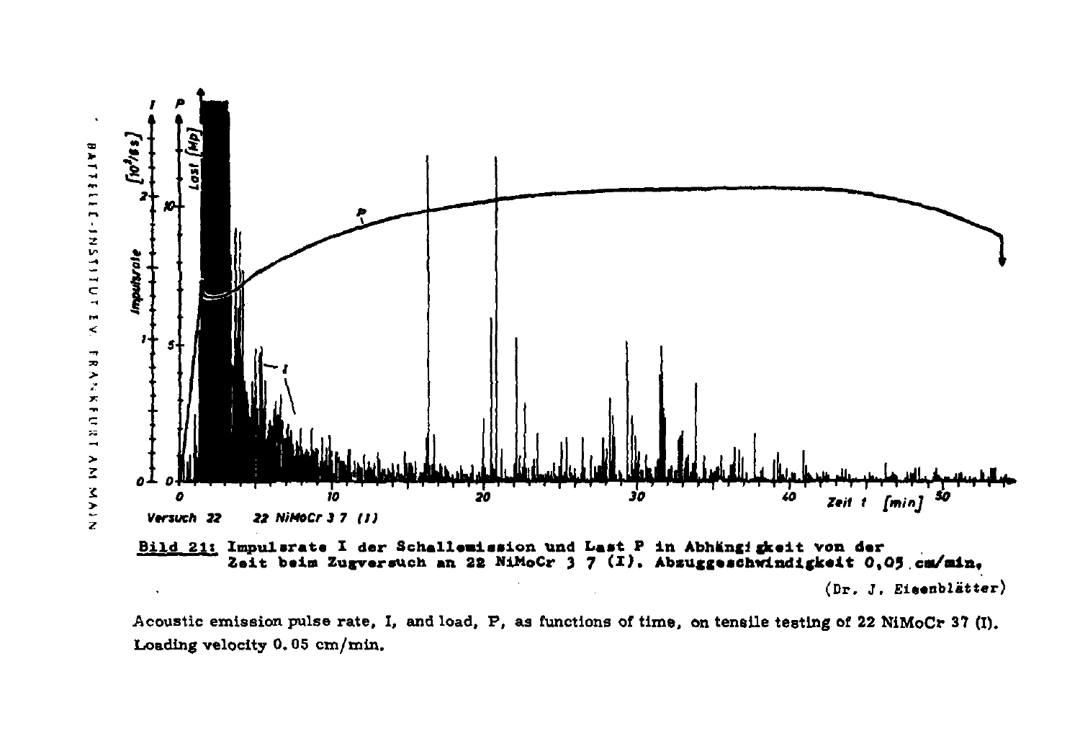

**Acoustic emission pulse rate, I, and load, P, as functions of time, on tensile testing of 22 NiMoCr 37 (I).**  Loading velocity 0.05 cm/min.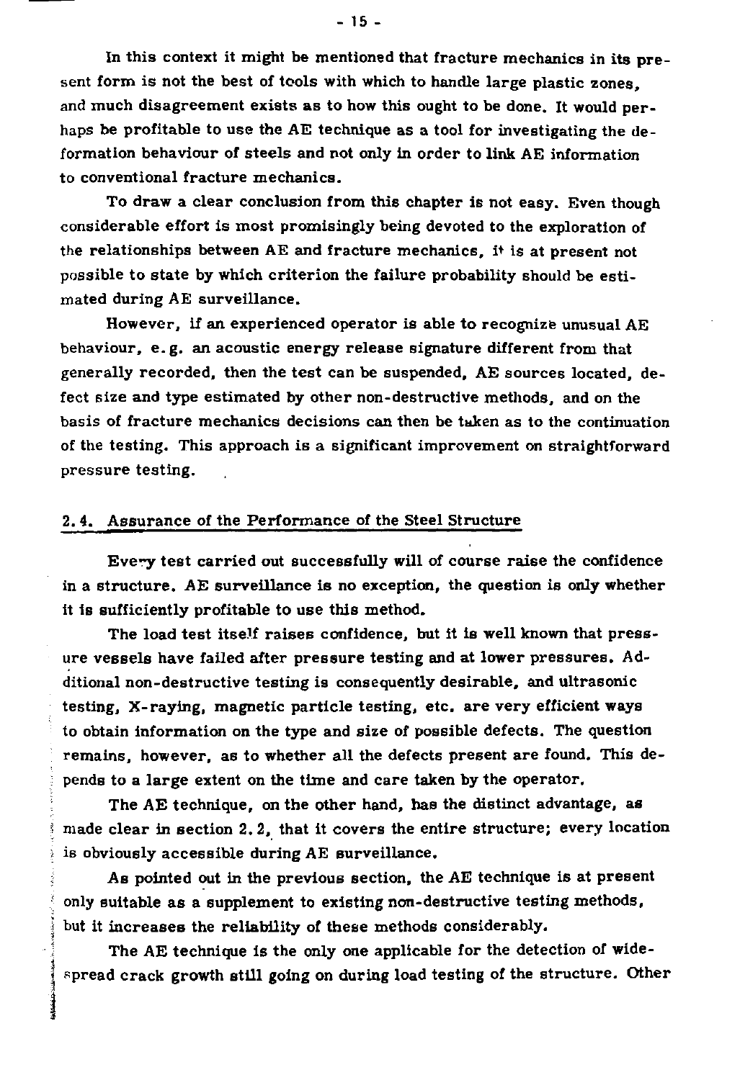**In this context it might be mentioned that fracture mechanics in its present form is not the best of tools with which to handle large plastic zones, and much disagreement exists as to how this ought to be done. It would perhaps be profitable to use the AE technique as a tool for investigating the deformation behaviour of steels and not only in order to link AE information to conventional fracture mechanics.** 

**To draw a clear conclusion from this chapter is not easy. Even though considerable effort is most promisingly being devoted to the exploration of the relationships between AE and fracture mechanics, it is at present not possible to state by which criterion the failure probability should be estimated during AE surveillance.** 

**However, if an experienced operator is able to recognize unusual AE behaviour, e. g. an acoustic energy release signature different from that generally recorded, then the test can be suspended, AE sources located, defect size and type estimated by other non-destructive methods, and on the basis of fracture mechanics decisions can then be taken as to the continuation of the testing. This approach is a significant improvement on straightforward pressure testing.** 

#### **2.4. Assurance of the Performance of the Steel Structure**

**Every test carried out successfully will of course raise the confidence in a structure. AE surveillance is no exception, the question is only whether it is sufficiently profitable to use this method.** 

**The load test itself raises confidence, but it is well known that pressure vessels have failed after pressure testing and at lower pressures. Additional non-destructive testing is consequently desirable, and ultrasonic testing, X-raying, magnetic particle testing, etc. are very efficient ways to obtain information on the type and size of possible defects. The question remains, however, as to whether all the defects present are found. This de- : pends to a large extent on the time and care taken by the operator.** 

**The AE technique, on the other hand, has the distinct advantage, as**  made clear in section 2.2, that it covers the entire structure; every location **; is obviously accessible during AE surveillance.** 

**As pointed out in the previous section, the AE technique is at present ' only suitable as a supplement to existing non-destructive testing methods,**  but it increases the reliability of these methods considerably.

The AE technique is the only one applicable for the detection of wide-**I spread crack growth still going on during load testing of the structure. Other** 

**1** 

**- 15 -**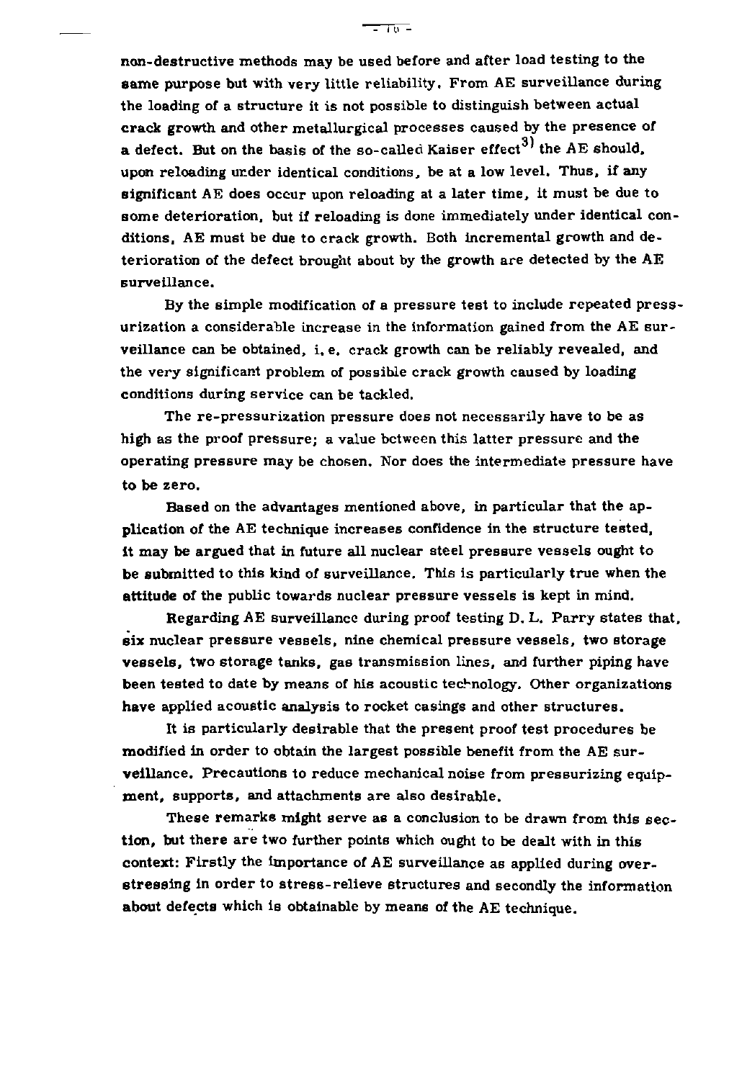non-destructive methods may be used before and after load testing to the same purpose but with very little reliability. From AE surveillance during the loading of a structure it is not possible to distinguish between actual crack growth and other metallurgical processes caused by the presence of a defect. But on the basis of the so-called Kaiser effect<sup>3)</sup> the AE should. upon reloading under identical conditions, be at a low level. Thus, if any significant AE does occur upon reloading at a later time, it must be due to some deterioration, but if reloading is done immediately under identical conditions, AE must be due to crack growth. Both incremental growth and deterioration of the defect brought about by the growth are detected by the AE surveillance.

By the simple modification of a pressure test to include repeated pressurization a considerable increase in the information gained from the AE surveillance can be obtained, i.e. crack growth can be reliably revealed, and the very significant problem of possible crack growth caused by loading conditions during service can be tackled.

The re-pressurization pressure does not necessarily have to be as high as the proof pressure; a value between this latter pressure and the operating pressure may be chosen. Nor does the intermediate pressure have to be zero.

Based on the advantages mentioned above, in particular that the application of the AE technique increases confidence in the structure tested, it may be argued that in future all nuclear steel pressure vessels ought to be submitted to this kind of surveillance. This is particularly true when the attitude of the public towards nuclear pressure vessels is kept in mind.

Regarding AE surveillance during proof testing D. L. Parry states that, six nuclear pressure vessels, nine chemical pressure vessels, two storage vessels, two storage tanks, gas transmission lines, and further piping have been tested to date by means of his acoustic technology. Other organizations have applied acoustic analysis to rocket casings and other structures.

It is particularly desirable that the present proof test procedures be modified in order to obtain the largest possible benefit from the AE surveillance. Precautions to reduce mechanical noise from pressurizing equipment, supports, and attachments are also desirable.

These remarks might serve as a conclusion to be drawn from this section, but there are two further points which ought to be dealt with in this context: Firstly the importance of AE surveillance as applied during overstressing in order to stress-relieve structures and secondly the information about defects which is obtainable by means of the AE technique.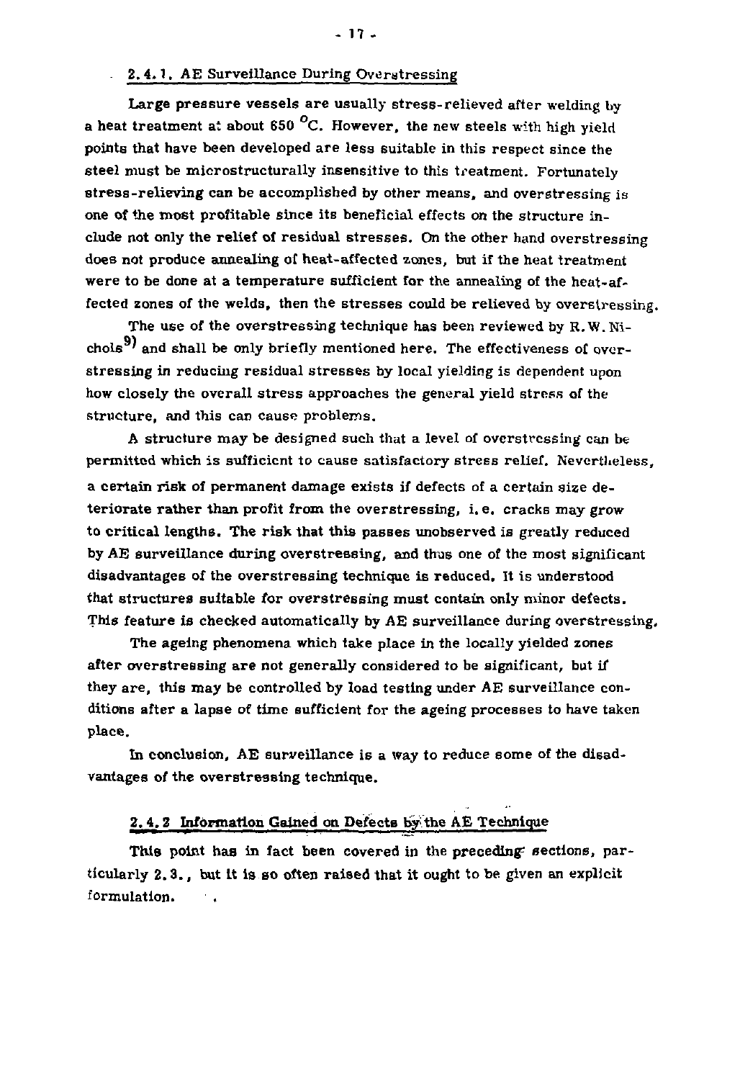#### 2.4.1. AE Surveillance During Overstressing

Large pressure vessels are usually stress-relieved after welding by a heat treatment at about 650  $^{\circ}$ C. However, the new steels with high yield points that have been developed are less suitable in this respect since the steel must be microstructurally insensitive to this treatment. Fortunately stress-relieving can be accomplished by other means, and overstressing is one of the most profitable since its beneficial effects on the structure include not only the relief of residual stresses. On the other hand overstressing does not produce annealing of heat-affected zones, but if the heat treatment were to be done at a temperature sufficient for the annealing of the heat-affected zones of the welds, then the stresses could be relieved by overslressing.

The use of the overstressing technique has been reviewed by R.W.Nichols<sup>9)</sup> and shall be only briefly mentioned here. The effectiveness of overstressing in reducing residual stresses by local yielding is dependent upon how closely the overall stress approaches the general yield stress of the structure, and this can cause problems.

A structure may be designed such that a level of overstrcssing can be permitted which is sufficient to cause satisfactory stress relief. Nevertheless, a certain risk of permanent damage exists if defects of a certain size deteriorate rather than profit from the overstressing, i. e. cracks may grow to critical lengths. The risk that this passes unobserved is greatly reduced by AE surveillance during overstressing, and thus one of the most significant disadvantages of the overstressing technique is reduced. It is understood that structures suitable for overstressing must contain only minor defects. This feature is checked automatically by AE surveillance during overstressing.

The ageing phenomena which take place in the locally yielded zones after overstressing are not generally considered to be significant, but if they are, this may be controlled by load testing under AE surveillance conditions after a lapse of time sufficient for the ageing processes to have taken place.

In conclusion, AE surveillance is a way to reduce some of the disadvantages of the overstressing technique.

# 2.4.2 Information Gained on Defects by the AE Technique

This point has in fact been covered in the preceding sections, particularly 2.3. *,* but it is so often raised that it ought to be given an explicit formulation.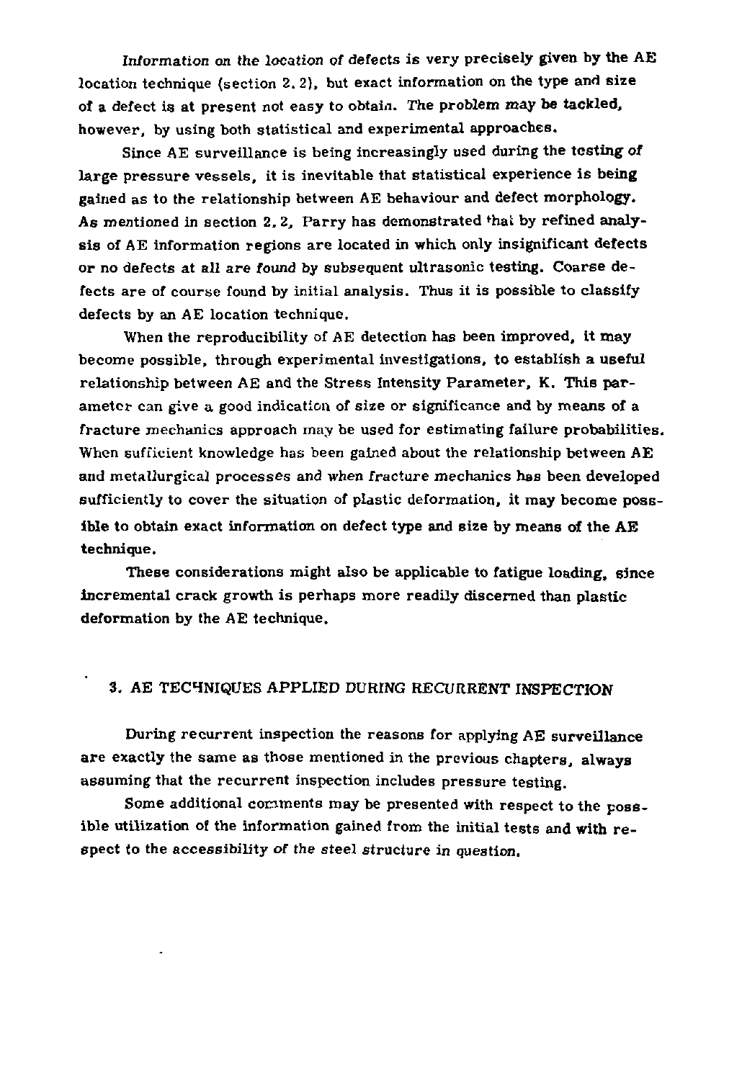Information on the location of defects is very precisely given by the AE location technique (section 2. 2), but exact information on the type and size of a defect is at present not easy to obtain. The problem may be tackled, however, by using both statistical and experimental approaches.

Since AE surveillance is being increasingly used during the testing of large pressure vessels, it is inevitable that statistical experience is being gained as to the relationship between AE behaviour and defect morphology. As mentioned in section 2.2, Parry has demonstrated that by refined analysis of AE information regions are located in which only insignificant defects or no defects at all are found by subsequent ultrasonic testing. Coarse defects are of course found by initial analysis. Thus it is possible to classify defects by an AE location technique.

When the reproducibility of AE detection has been improved, it may become possible, through experimental investigations, to establish a useful relationship between AE and the Stress Intensity Parameter, K. This parameter can give a good indication of size or significance and by means of a fracture mechanics approach may be used for estimating failure probabilities. When sufficient knowledge has been gained about the relationship between AE and metallurgical processes and when *fracture* mechanics has been developed sufficiently to cover the situation of plastic deformation, it may become possible to obtain exact information on defect type and size by means of the AE technique.

These considerations might also be applicable to fatigue loading, since incremental crack growth is perhaps more readily discerned than plastic deformation by the AE technique.

# 3. AE TECHNIQUES APPLIED DURING RECURRENT INSPECTION

During recurrent inspection the reasons for applying AE surveillance are exactly the same as those mentioned in the previous chapters, always assuming that the recurrent inspection includes pressure testing.

Some additional comments may be presented with respect to the possible utilization of the information gained from the initial tests and with respect to the accessibility of the steel structure in question.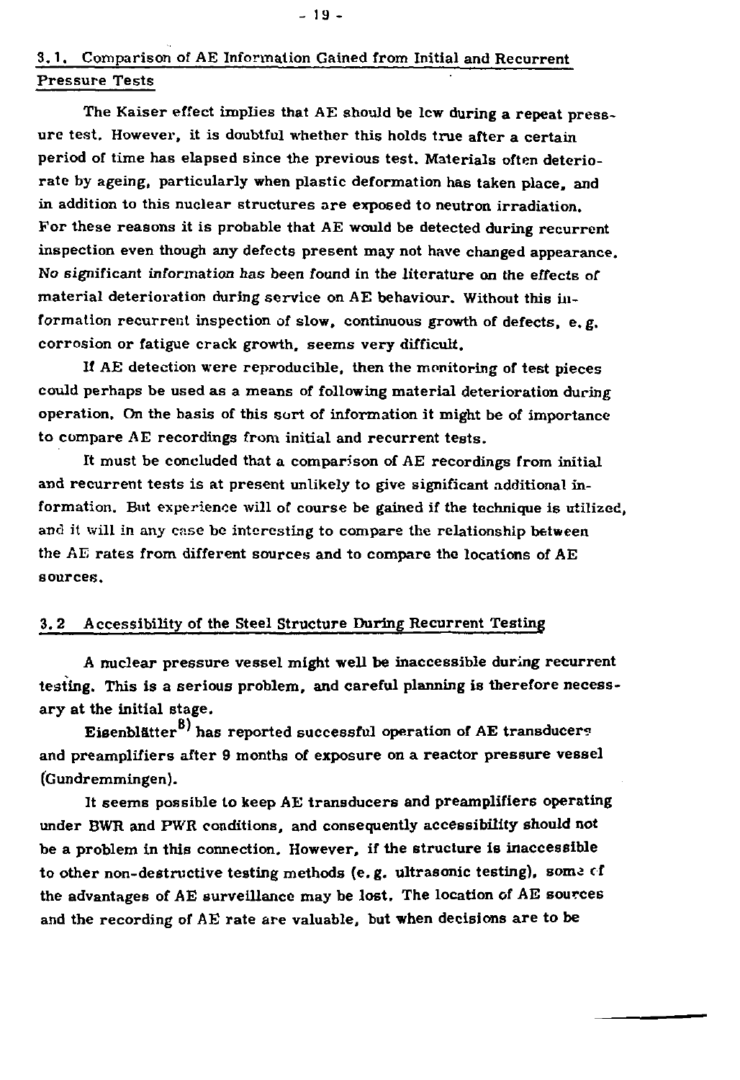# **3.1. Comparison of AE Information Gained from Initial and Recurrent Pressure Tests**

**The Kaiser effect implies that AE should be lew during a repeat pressure test. However, it is doubtful whether this holds true after a certain period of time has elapsed since the previous test. Materials often deteriorate by ageing, particularly when plastic deformation has taken place, and in addition to this nuclear structures are exposed to neutron irradiation. For these reasons it is probable that AE would be detected during recurrent inspection even though any defects present may not have changed appearance. No significant information has been found in the literature on the effects of material deterioration during service on AE behaviour. Without this information recurrent inspection of slow, continuous growth of defects, e. g. corrosion or fatigue crack growth, seems very difficult.** 

**If AE detection were reproducible, then the monitoring of test pieces could perhaps be used as a means of following material deterioration during operation. On the basis of this sort of information it might be of importance to compare AE recordings from initial and recurrent tests.** 

**It must be concluded that a comparison of AE recordings from initial and recurrent tests is at present unlikely to give significant additional information. But experience will of course be gained if the technique is utilized, and it will in any case be interesting to compare the relationship between the AE rates from different sources and to compare the locations of AE sources.** 

#### **3. 2 Accessibility of the Steel Structure During Recurrent Testing**

**A nuclear pressure vessel might well be inaccessible during recurrent testing. This is a serious problem, and careful planning is therefore necessary at the initial stage.** 

Eisenblätter<sup>8)</sup> has reported successful operation of AE transducers **and preamplifiers after 9 months of exposure on a reactor pressure vessel (Gundremmingen).** 

**It seems possible to keep AE transducers and preamplifiers operating under BWR and PWR conditions, and consequently accessibility should not be a problem in this connection. However, if the structure is inaccessible to other non-destructive testing methods (e.g. ultrasonic testing),** *somi* **of the advantages of AE surveillance may be lost. The location of AE sources and the recording of AE rate are valuable, but when decisions are to be**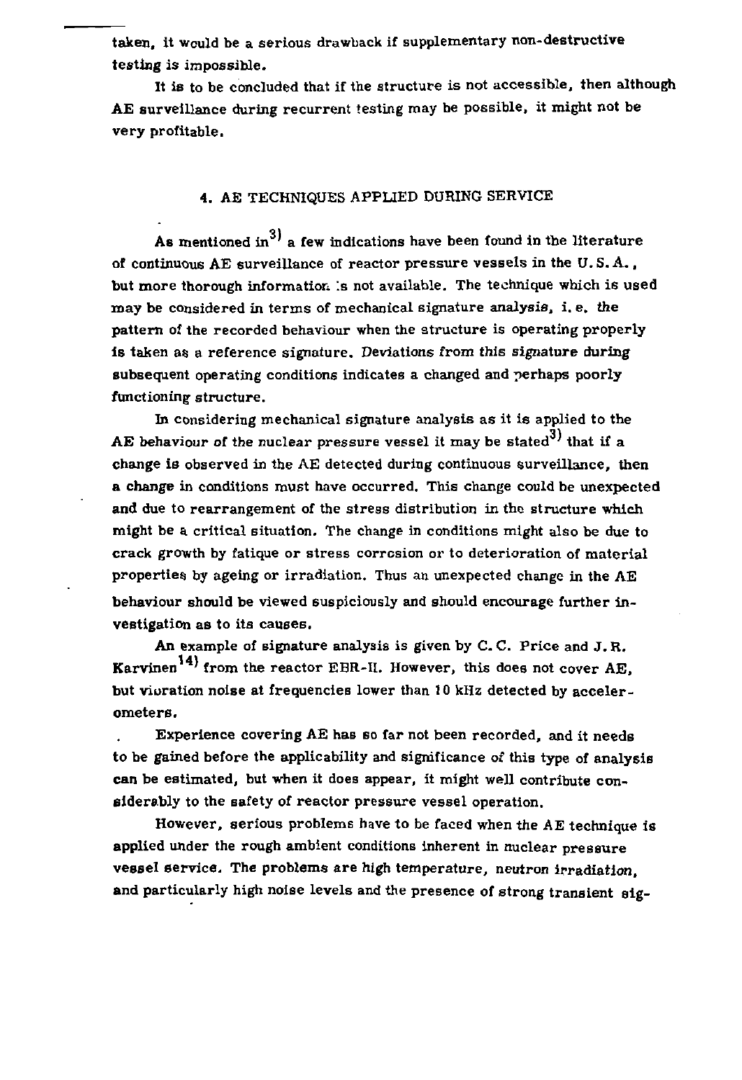taken, it would be a serious drawback if supplementary non-destructive testing is impossible.

It is to be concluded that if the structure is not accessible, then although AE surveillance during recurrent testing may be possible, it might not be very profitable.

#### 4. AE TECHNIQUES APPLIED DURING SERVICE

As mentioned in  $(3)$  a few indications have been found in the literature of continuous  $AE$  surveillance of reactor pressure vessels in the  $U.S.A.,$ but more thorough information is not available. The technique which is used may be considered in terms of mechanical signature analysis, i. e. the pattern of the recorded behaviour when the structure is operating properly is taken as a reference signature. Deviations from this signature during subsequent operating conditions indicates a changed and perhaps poorly functioning structure.

In considering mechanical signature analysis as it is applied to the AE behaviour of the nuclear pressure vessel it may be stated<sup>3</sup>) that if a change is observed in the AE detected during continuous surveillance, then a change in conditions must have occurred. This change could be unexpected and due to rearrangement of the stress distribution in the structure which might be a critical situation. The change in conditions might also be due to crack growth by fatique or stress corrosion or to deterioration of material properties by ageing or irradiation. Thus an unexpected change in the AE behaviour should be viewed suspiciously and should encourage further investigation as to its causes.

An example of signature analysis is given by  $C, C$ . Price and  $J, R$ , Karvinen<sup>14)</sup> from the reactor EBR-II. However, this does not cover  $AE$ . but vioration noise at frequencies lower than 10 kHz detected by accelerometers.

Experience covering AE has so far not been recorded, and it needs to be gained before the applicability and significance of this type of analysis can be estimated, but when it does appear, it might well contribute considerably to the safety of reactor pressure vessel operation.

However, serious problems have to be faced when the AE technique is applied under the rough ambient conditions inherent in nuclear pressure vessel service. The problems are high temperature, neutron irradiation, and particularly high noise levels and the presence of strong transient sig-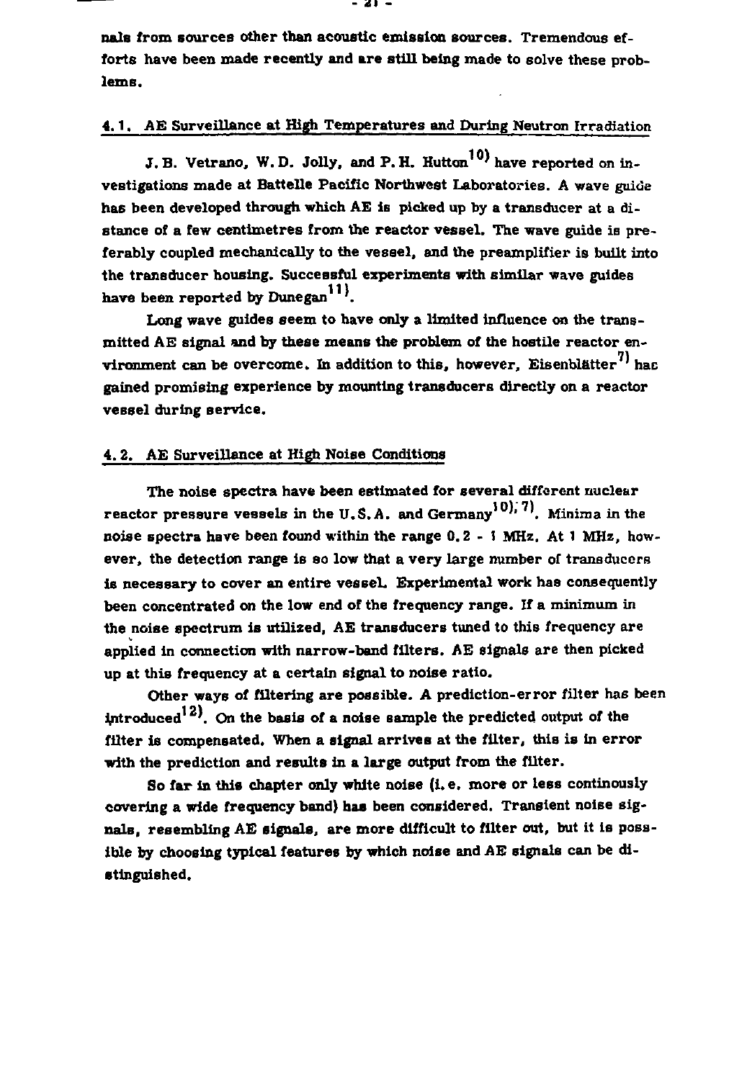**nals from sources other than acoustic emission sources. Tremendous ef**forts have been made recently and are still being made to solve these prob**lems.** 

#### **4.1. AE Surveillance at High Temperatures and During Neutron Irradiation**

**J. B. Vetrano, W. D. Jolly, and P. H. Hutton<sup>10</sup> have reported on investigations made at Battelle Pacific Northwest Laboratories. A wave guide has been developed through which AE is picked up by a transducer at a distance of a few centimetres from the reactor vessel. The wave guide is preferably coupled mechanically to the vessel, and the preamplifier is built into the transducer housing. Successful experiments with similar wave guides**  have been reported by Dunegan<sup>11</sup>.

**Long wave guides seem to have only a limited influence on the trans**mitted AE signal and by these means the problem of the hostile reactor environment can be overcome. In addition to this, however, Eisenblätter<sup>7)</sup> has **gained promising experience by mounting transducers directly on a reactor vessel during service.** 

# **4.2. AE Surveillance at High Noise Conditions**

**The noise spectra have been estimated for several different nuclear**  reactor pressure vessels in the U.S.A. and Germany<sup>10</sup>), 7<sup>1</sup>, Minima in the **noise spectra have been found within the range 0.2 - 1 MHz. At 1 MHz, however, the detection range is so low that a very large number of transducers is necessary to cover an entire vessel. Experimental work has consequently been concentrated on the low end of the frequency range. If a minimum in the noise spectrum is utilized, AE transducers tuned to this frequency are applied in connection with narrow-band filters. AE signals are then picked up at this frequency at a certain signal to noise ratio.** 

**Other ways of filtering are possible. A prediction-error filter has been**  introduced<sup>12)</sup>. On the basis of a noise sample the predicted output of the **filter is compensated. When a signal arrives at the filter, this is in error with the prediction and results in a large output from the filter.** 

**So far in this chapter only white noise (1. e. more or less continously covering a wide frequency band) has been considered. Transient noise signals, resembling AE signals, are more difficult to filter out, but it is possible by choosing typical features by which noise and AE signals can be distinguished.**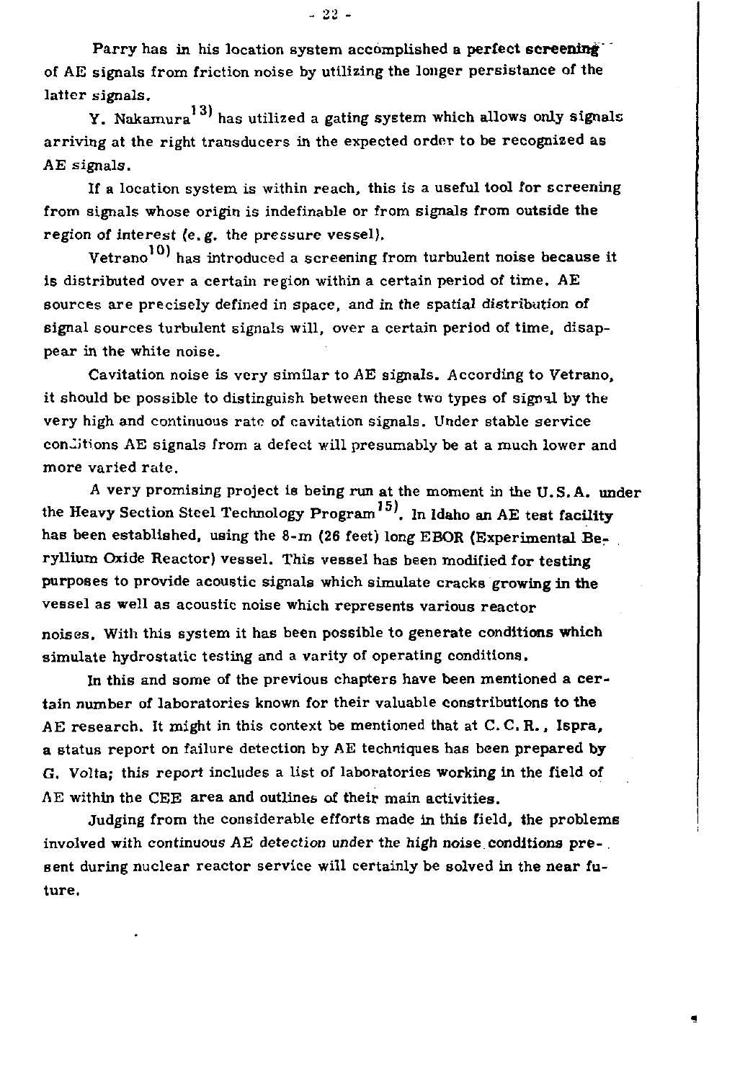Parry has in his location system accomplished a perfect screening of AE signals from friction noise by utilizing the longer persistance of the latter signals.

 $Y.$  Nakamura<sup>13</sup> has utilized a gating system which allows only signals arriving at the right transducers in the expected order to be recognized as AE *signals.* 

If a location system is within reach, this is a useful tool for screening from signals whose origin is indefinable or from signals from outside the region of interest (e. g. the pressure vessel).

 $Varran<sub>0</sub>$ <sup>10</sup>) has introduced a screening from turbulent noise because it is distributed over a certain region within a certain period of time. AE sources are precisely defined in space, and in the spatial distribution of signal sources turbulent signals will, over a certain period of time, disappear in the white noise.

Cavitation noise is very similar to AE signals. According to Vetrano, it should be possible to distinguish between these two types of signal by the very high and continuous rate of cavitation signals. Under stable service conditions AE signals from a defect will presumably be at a much lower and more varied rate .

A very promising project is being run at the moment in the U.S.A. under the Heavy Section Steel Technology Program<sup>15)</sup>. In Idaho an AE test facility has been established, using the 8-m (26 feet) long EBOR (Experimental Beryllium Oxide Reactor) vessel. This vessel has been modified for testing purposes to provide acoustic signals which simulate cracks growing in the vessel as well as acoustic noise which represents various reactor

noises. With this system it has been possible to generate conditions which simulate hydrostatic testing and a varity of operating conditions.

In this and some of the previous chapters have been mentioned a certain number of laboratories known for their valuable constributions to the AE research. It might in this context be mentioned that  $A \subset C, B, \ldots$  Ispra. a status report on failure detection by AE techniques has been prepared by G, Volta; this report includes a list of laboratories working in the field of AE within the CEE area and outlines of their main activities.

Judging from the considerable efforts made in this field, the problems involved with continuous AE detection under the high noise conditions pre - . sent during nuclear reactor service will certainly be solved in the near future.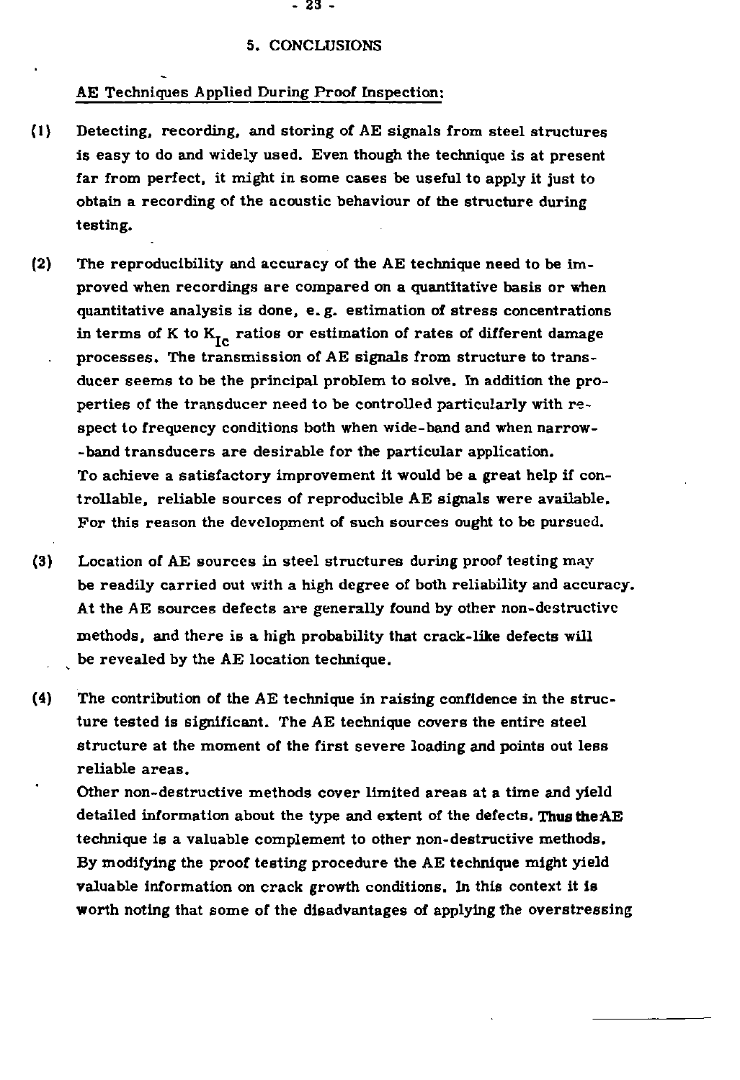#### - 23 -

#### 5. CONCLUSIONS

### AE Techniques Applied During Proof Inspection:

- Detecting, recording, and storing of AE signals from steel structures  $(1)$ is easy to do and widely used. Even though the technique is at present far from perfect, it might in some cases be useful to apply it just to obtain a recording of the acoustic behaviour of the structure during testing.
- $(2)$ The reproducibility and accuracy of the AE technique need to be improved when recordings are compared on a quantitative basis or when quantitative analysis is done, e.g. estimation of stress concentrations in terms of K to  $K_{I_{\alpha}}$  ratios or estimation of rates of different damage processes. The transmission of AE signals from structure to transducer seems to be the principal problem to solve. In addition the properties of the transducer need to be controlled particularly with re spect to frequency conditions both when wide-band and when narrow- -band transducers are desirable for the particular application. To achieve a satisfactory improvement it would be a great help if controllable, reliable sources of reproducible AE signals were available. For this reason the development of such sources ought to be pursued.
- $(3)$ Location of AE sources in steel structures during proof testing may be readily carried out with a high degree of both reliability and accuracy. At the AE sources defects are generally found by other non-destructive methods, and there is a high probability that crack-like defects will be revealed by the AE location technique.
- $(4)$ The contribution of the AE technique in raising confidence in the structure tested is significant. The AE technique covers the entire steel structure at the moment of the first severe loading and points out less reliable areas.

Other non-destructive methods cover limited areas at a time and yield detailed information about the type and extent of the defects. Thus **the** AE technique is a valuable complement to other non-destructive methods. By modifying the proof testing procedure the AE technique might yield valuable information on crack growth conditions. In this context it is worth noting that some of the disadvantages of applying the overstressing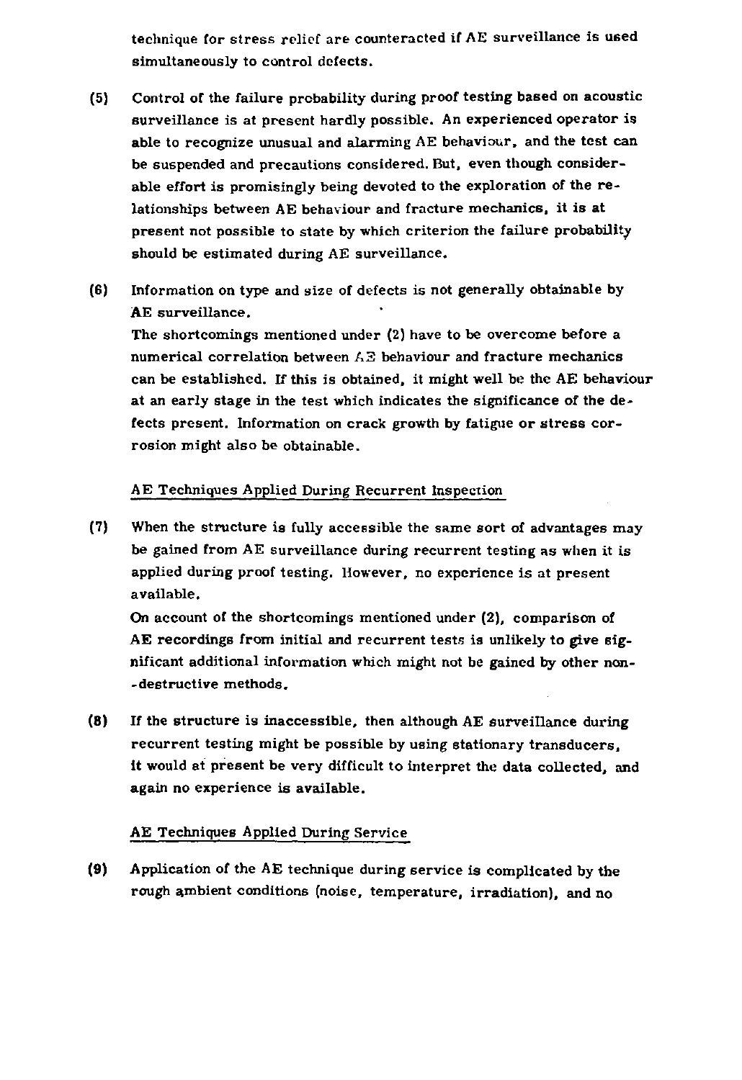technique for stress relief are counteracted if AE surveillance is used simultaneously to control defects.

- (5) Control of the failure probability during proof testing based on acoustic surveillance is at present hardly possible. An experienced operator is able to recognize unusual and alarming AE behaviour, and the test can be suspended and precautions considered. But, even though considerable effort is promisingly being devoted to the exploration of the re lationships between AE behaviour and fracture mechanics, it is at present not possible to state by which criterion the failure probability should be estimated during AE surveillance.
- (6) Information on type and size of defects is not generally obtainable by AE surveillance.

The shortcomings mentioned under (2) have to be overcome before a numerical correlation between  $\land \Xi$  behaviour and fracture mechanics can be established. If this is obtained, it might well be the AE behaviour at an early stage in the test which indicates the significance of the defects present. Information on crack growth by fatigue or stress corrosion might also be obtainable.

### AE Techniques Applied During Recurrent Inspection

(7) When the structure is fully accessible the same sort of advantages may be gained from AE surveillance during recurrent testing as when it is applied during proof testing. However, no experience is at present available.

On account of the shortcomings mentioned under (2), comparison of AE recordings from initial and recurrent tests is unlikely to give significant additional information which might not be gained by other non- -destructive methods.

(8) If the structure is inaccessible, then although AE surveillance during recurrent testing might be possible by using stationary transducers, it would at present be very difficult to interpret the data collected, and again no experience is available.

#### AE Techniques Applied During Service

(9) Application of the AE technique during service is complicated by the rough ambient conditions (noise, temperature, irradiation), and no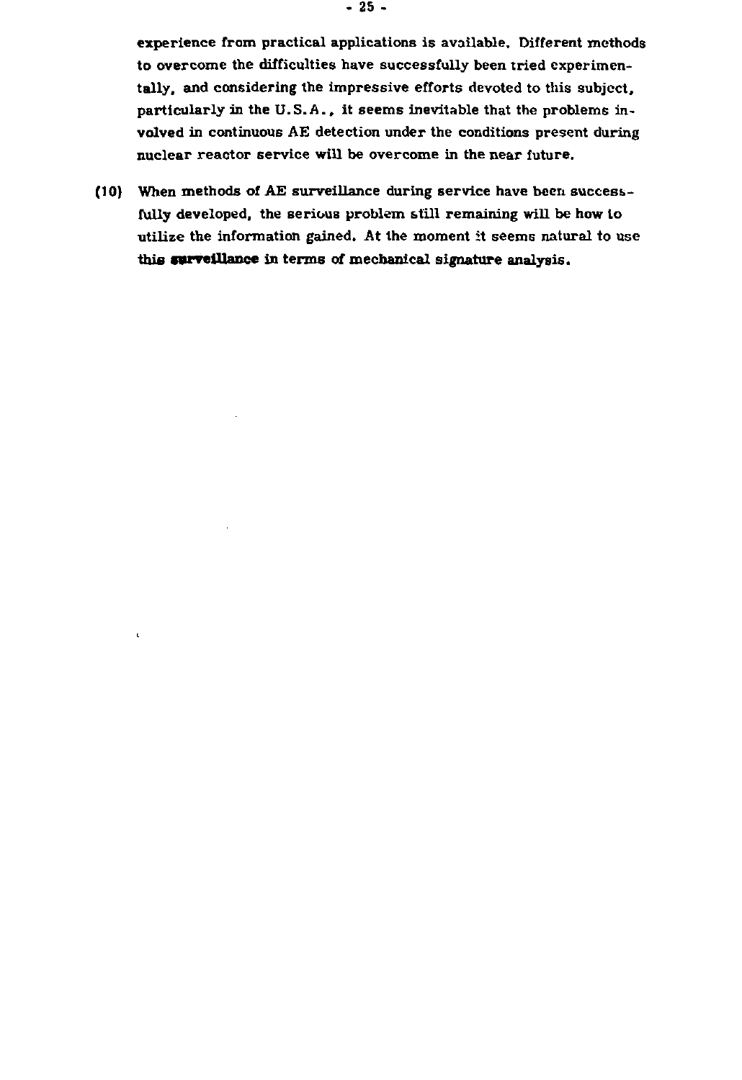experience from practical applications is available. Different methods to overcome the difficulties have successfully been tried experimentally, and considering the impressive efforts devoted to this subject, particularly in the U.S.A., it seems inevitable that the problems involved in continuous AE detection under the conditions present during nuclear reactor service will be overcome in the near future.

(10) When methods of AE surveillance during service have been successfully developed, the serious problem still remaining will be how to utilize the information gained. At the moment it seems natural to use **this mrretUance in terms of mechanical signature** analysis.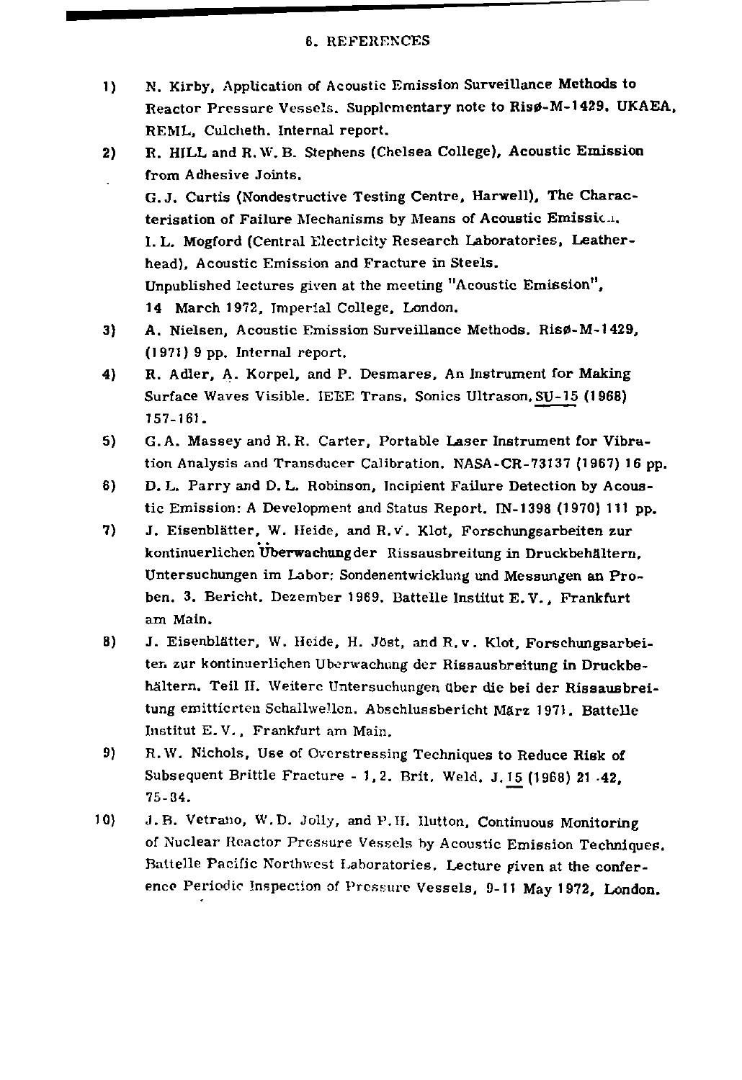#### 6. REFERENCES

- 1) N. Kirby, Application of Acoustic Emission Surveillance Methods to Reactor Pressure Vessels. Supplementary note to Risø-M-1429. UKAEA. REML, Culcheth. Internal report.
- 2) R. HILL and R.W. B. Stephens (Chelsea College), Acoustic Emission from Adhesive Joints. G.J, Curtis (Nondestructive Testing Centre, Harwell), The Characterisation of Failure Mechanisms by Means of Acoustic Emissic.i.

I. L. Mogford (Central Electricity Research Laboratories, Leatherhead), Acoustic Emission and Fracture in Steels. Unpublished lectures given at the meeting "Acoustic Emission", 14 March 1972, Imperial College, London.

- 3) A. Nielsen, Acoustic Emission Surveillance Methods. Risø-M-1429, (1971) 9 pp. Internal report.
- 4) R. Adler, A. Korpel, and P. Desmares, An Instrument for Making Surface Waves Visible. IEEE Trans. Sonics Ultrason.SU-15 (1968) 157-161.
- 5) G.A. Massey and R.R. Carter, Portable Laser Instrument for Vibration Analysis and Transducer Calibration. NASA-CR-73137 (1967) 16 pp.
- 6) D. L. Parry and D. L. Robinson, Incipient Failure Detection by Acoustic Emission: A Development and Status Report. IN-1398 (1970) 111 pp.
- 7) J. Eisenblatter, W. Heide, and R.v. Klot, Forschungsarbeiten zur kontinuerlichen Uberwachung der Rissausbreitung in Druckbehaltern. Untersuchungen im Labor: Sondenentwicklung und Messungen an Proben. 3. Bericht. Dezember 1969. Battelle Institut E.V., Frankfurt am Main.
- 8) J. Eisenblatter, W. Heide, H. JOst, and R. v. Klot, Forschungsarbeiter. zur kontinuerlichen Uberwachung der Rissausbreitung in Druckbehältern. Teil II. Weitere Untersuchungen über die bei der Rissausbreitung emittierten Schallwellen. Abschlussbericht März 1971. Battelle Institut E.V., Frankfurt am Main.
- 9) R.W. Nichols, Use of Ovcrstressing Techniques to Reduce Risk of Subsequent Brittle Fracture - 1, 2. Brit. Weld. J. 15 (1968) 21 - 42. 75-34.
- 10) J.B. Vetrano, W.D. Jolly, and P.II. Hutton, Continuous Monitoring of Nuclear Reactor Pressure Vessels by Acoustic Emission Techniques. Battelle Pacific Northwest Laboratories. Lecture given at the conference Periodic Inspection of Pressure Vessels, 9-11 May 1972, London.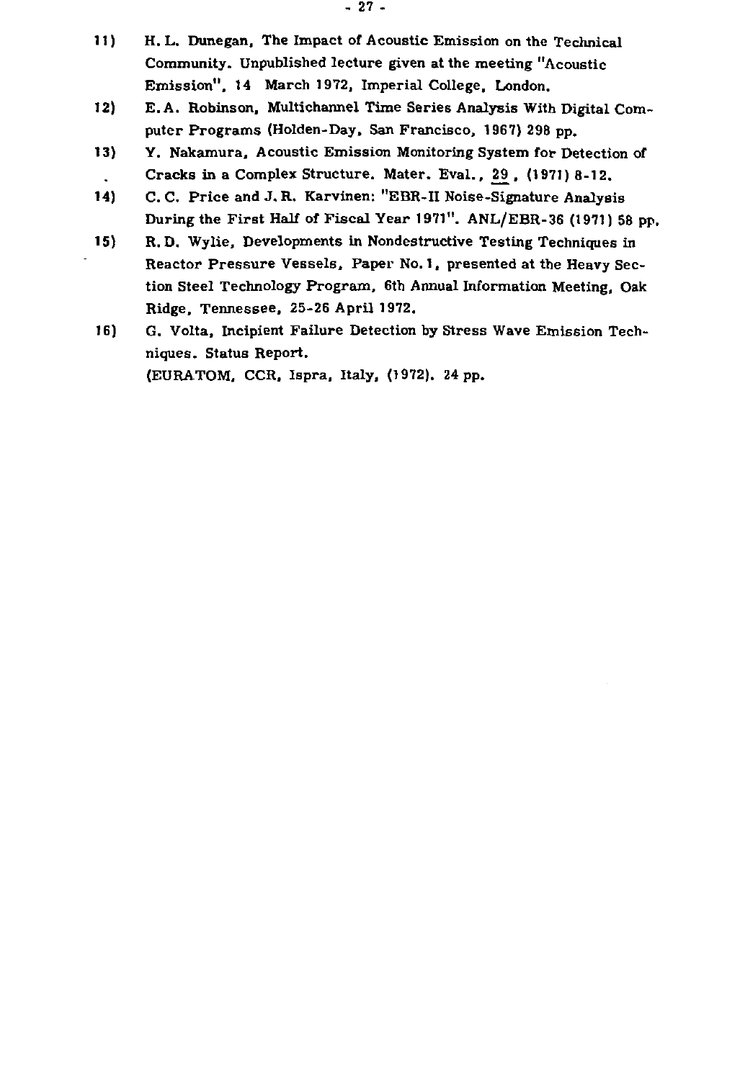- 11) H. L. Dunegan, The Impact of Acoustic Emission on the Technical Community. Unpublished lecture given at the meeting "Acoustic Emission", 14 March 1972, Imperial College, London.
- 12) E.A. Robinson, Multichannel Time Series Analysis With Digital Computer Programs (Holden-Day, San Francisco, 1967) 298 pp.
- 13) Y. Nakamura, Acoustic Emission Monitoring System for Detection of Cracks in a Complex Structure. Mater. Eval., £9 , (1971) 8-12.
- 14) C. C. Price and J. R, Karvinen: "EBR-II Noise-Signature Analysis During the First Half of Fiscal Year 1971". ANL/EBR-36 (1971) 58 pp.
- 15) R. D. Wylie, Developments in Nondestructive Testing Techniques in Reactor Pressure Vessels, Paper No. 1, presented at the Heavy Section Steel Technology Program, 6th Annual Information Meeting, Oak Ridge, Tennessee, 25-26 April 1972.
- 16) G. Volta, Incipient Failure Detection by Stress Wave Emission Techniques. Status Report. (EURATOM, CCR. Ispra, Italy, (1972). 24 pp.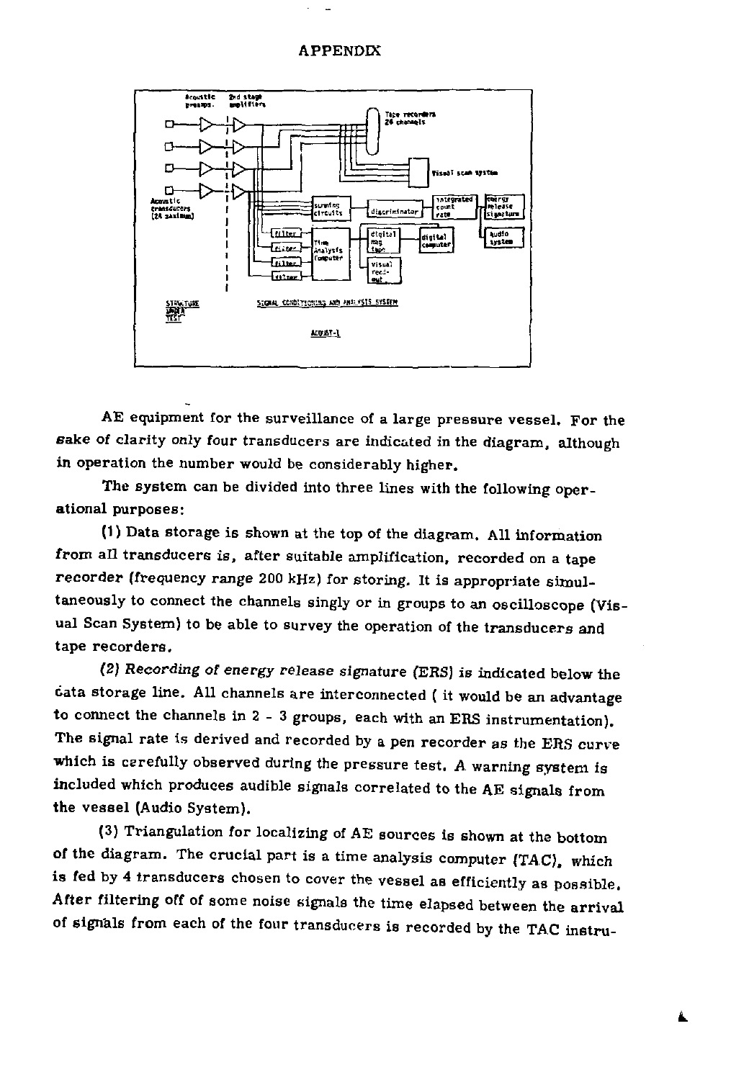#### APPENDIX



AE equipment for the surveillance of a large pressure vessel. For the sake of clarity only four transducers are indicated in the diagram, although in operation the number would be considerably higher.

The system can be divided into three lines with the following operational purposes:

(1) Data storage is shown at the top of the diagram. All information from all transducers is, after suitable amplification, recorded on a tape recorder (frequency range 200 kHz) for storing. It is appropriate simultaneously to connect the channels singly or in groups to an oscilloscope (Visual Scan System) to be able to survey the operation of the transducers and tape recorders.

(2) Recording of energy release signature (ERS) is indicated below the cata storage line. All channels are interconnected ( it would be an advantage to connect the channels in 2 - 3 groups, each with an ERS instrumentation). The signal rate is derived and recorded by a pen recorder as the ERS curve which is carefully observed during the pressure test. A warning system is included which produces audible signals correlated to the AE signals from the vessel (Audio System).

(3) Triangulation for localizing of AE sources is shown at the bottom of the diagram. The crucial part is a time analysis computer (TAC), which is fed by 4 transducers chosen to cover the vessel as efficiently as possible. After filtering off of some noise signals the time elapsed between the arrival of signals from each of the four transducers is recorded by the TAC instru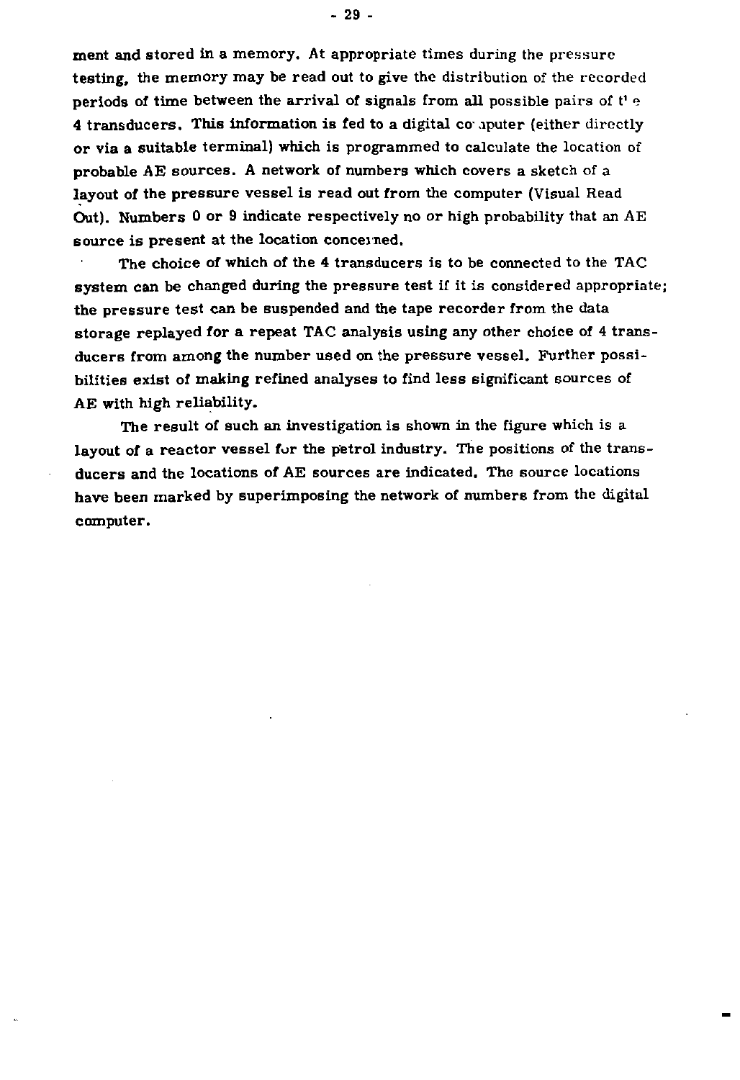ment and stored in a memory. At appropriate times during the pressure testing, the memory may be read out to give the distribution of the recorded periods of time between the arrival of signals from all possible pairs of  $t^1$   $\circ$ 4 transducers. This information is fed to a digital conjunctive directly or via a suitable terminal) which is programmed to calculate the location of probable AE sources. A network of numbers which covers a sketch of a layout of the pressure vessel is read out from the computer (Visual Read Out). Numbers 0 or 9 indicate respectively no or high probability that an AE source is present at the location concerned.

The choice of which of the 4 transducers is to be connected to the TAC system can be changed during the pressure test if it is considered appropriate; the pressure test can be suspended and the tape recorder from the data storage replayed for a repeat TAC analysis using any other choice of 4 transducers from among the number used on the pressure vessel. Further possibilities exist of making refined analyses to find less significant sources of AE with high reliability.

The result of such an investigation is shown in the figure which is a layout of a reactor vessel for the petrol industry. The positions of the transducers and the locations of AE sources are indicated. The source locations have been marked by superimposing the network of numbers from the digital computer.